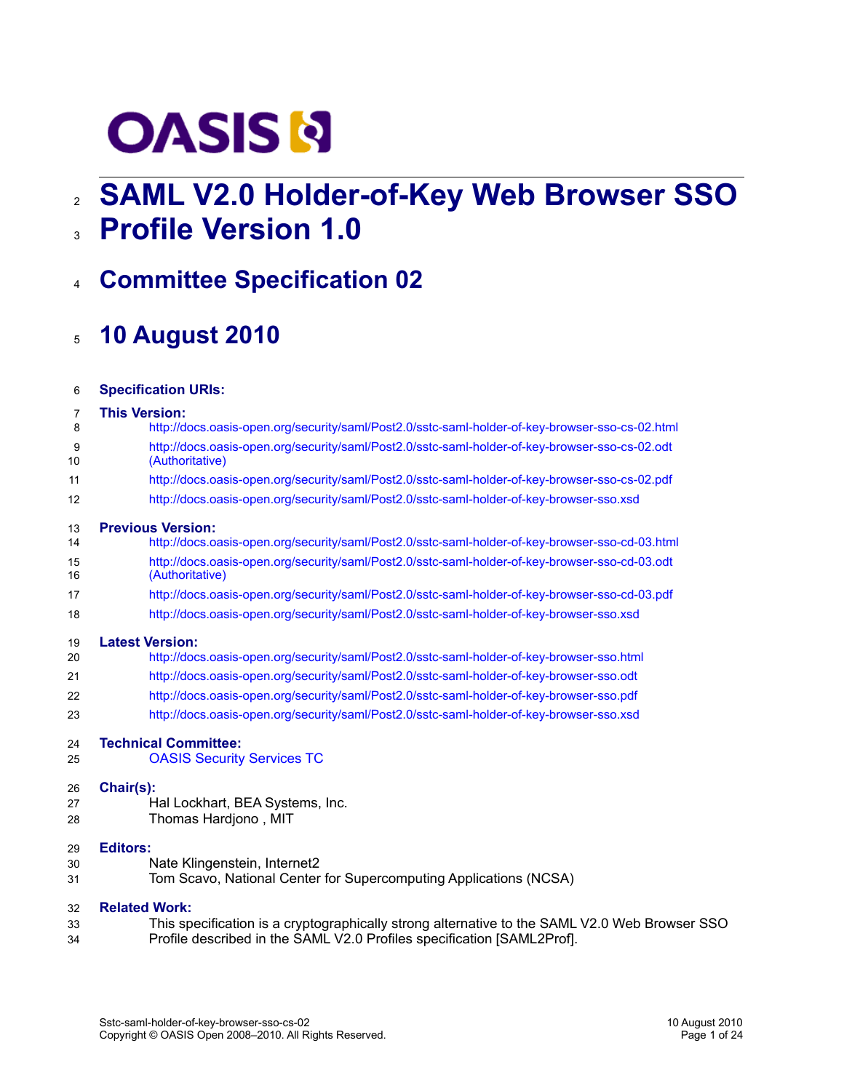# **OASIS N**

# **SAML V2.0 Holder-of-Key Web Browser SSO** 2

- **Profile Version 1.0** 3
- **Committee Specification 02** 4

# **10 August 2010** 5

| 6  | <b>Specification URIs:</b>                                                                      |
|----|-------------------------------------------------------------------------------------------------|
| 7  | <b>This Version:</b>                                                                            |
| 8  | http://docs.oasis-open.org/security/saml/Post2.0/sstc-saml-holder-of-key-browser-sso-cs-02.html |
| 9  | http://docs.oasis-open.org/security/saml/Post2.0/sstc-saml-holder-of-key-browser-sso-cs-02.odt  |
| 10 | (Authoritative)                                                                                 |
| 11 | http://docs.oasis-open.org/security/saml/Post2.0/sstc-saml-holder-of-key-browser-sso-cs-02.pdf  |
| 12 | http://docs.oasis-open.org/security/saml/Post2.0/sstc-saml-holder-of-key-browser-sso.xsd        |
| 13 | <b>Previous Version:</b>                                                                        |
| 14 | http://docs.oasis-open.org/security/saml/Post2.0/sstc-saml-holder-of-key-browser-sso-cd-03.html |
| 15 | http://docs.oasis-open.org/security/saml/Post2.0/sstc-saml-holder-of-key-browser-sso-cd-03.odt  |
| 16 | (Authoritative)                                                                                 |
| 17 | http://docs.oasis-open.org/security/saml/Post2.0/sstc-saml-holder-of-key-browser-sso-cd-03.pdf  |
| 18 | http://docs.oasis-open.org/security/saml/Post2.0/sstc-saml-holder-of-key-browser-sso.xsd        |
| 19 | <b>Latest Version:</b>                                                                          |
| 20 | http://docs.oasis-open.org/security/saml/Post2.0/sstc-saml-holder-of-key-browser-sso.html       |
| 21 | http://docs.oasis-open.org/security/saml/Post2.0/sstc-saml-holder-of-key-browser-sso.odt        |
| 22 | http://docs.oasis-open.org/security/saml/Post2.0/sstc-saml-holder-of-key-browser-sso.pdf        |
| 23 | http://docs.oasis-open.org/security/saml/Post2.0/sstc-saml-holder-of-key-browser-sso.xsd        |
| 24 | <b>Technical Committee:</b>                                                                     |
| 25 | <b>OASIS Security Services TC</b>                                                               |
| 26 | Chair(s):                                                                                       |
| 27 | Hal Lockhart, BEA Systems, Inc.                                                                 |
| 28 | Thomas Hardjono, MIT                                                                            |
| 29 | <b>Editors:</b>                                                                                 |
| 30 | Nate Klingenstein, Internet2                                                                    |
| 31 | Tom Scavo, National Center for Supercomputing Applications (NCSA)                               |
| 32 | <b>Related Work:</b>                                                                            |
| 33 | This specification is a cryptographically strong alternative to the SAML V2.0 Web Browser SSO   |
| 34 | Profile described in the SAML V2.0 Profiles specification [SAML2Prof].                          |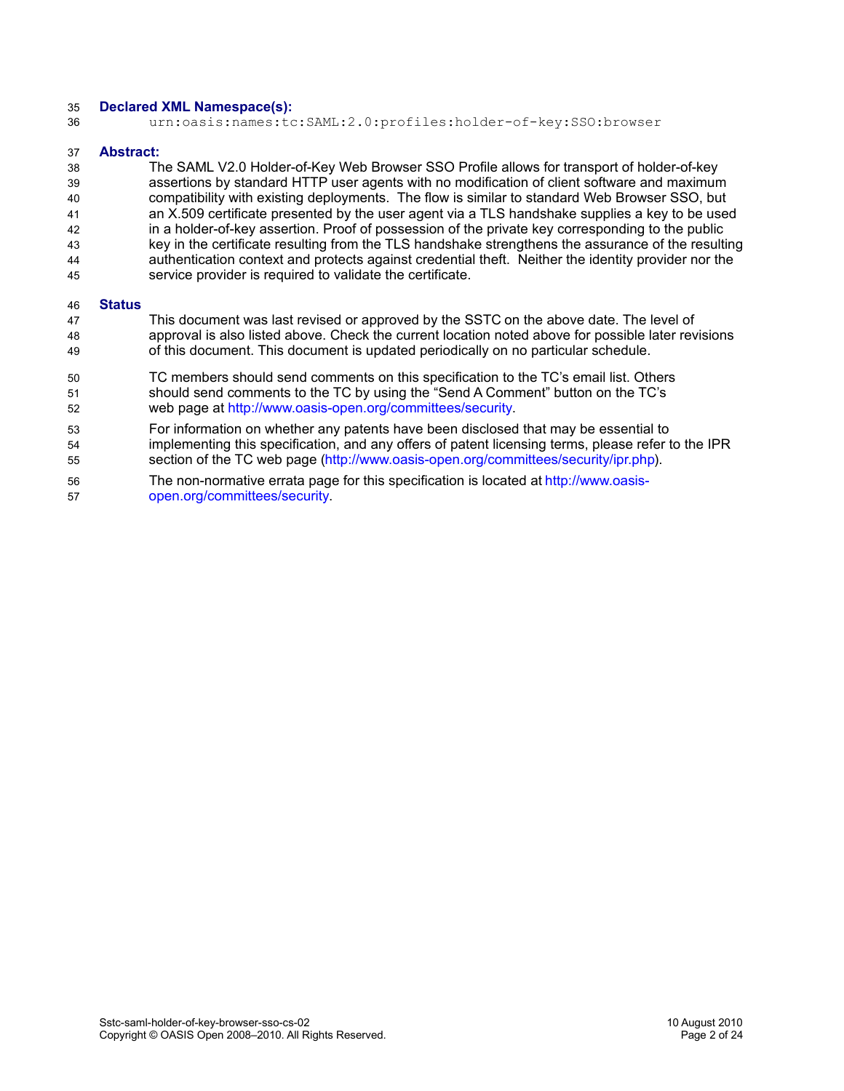#### **Declared XML Namespace(s):** 35

urn:oasis:names:tc:SAML:2.0:profiles:holder-of-key:SSO:browser 36

#### **Abstract:** 37

The SAML V2.0 Holder-of-Key Web Browser SSO Profile allows for transport of holder-of-key assertions by standard HTTP user agents with no modification of client software and maximum compatibility with existing deployments. The flow is similar to standard Web Browser SSO, but an X.509 certificate presented by the user agent via a TLS handshake supplies a key to be used in a holder-of-key assertion. Proof of possession of the private key corresponding to the public key in the certificate resulting from the TLS handshake strengthens the assurance of the resulting authentication context and protects against credential theft. Neither the identity provider nor the service provider is required to validate the certificate. 38 39  $40$ 41 42 43 44 45

#### **Status** 46

- This document was last revised or approved by the SSTC on the above date. The level of approval is also listed above. Check the current location noted above for possible later revisions of this document. This document is updated periodically on no particular schedule. 47 48 49
- TC members should send comments on this specification to the TC's email list. Others should send comments to the TC by using the "Send A Comment" button on the TC's web page at [http://www.oasis-open.org/committees/security.](http://www.oasis-open.org/committees/security) 50 51 52
- For information on whether any patents have been disclosed that may be essential to implementing this specification, and any offers of patent licensing terms, please refer to the IPR section of the TC web page [\(http://www.oasis-open.org/committees/security/ipr.php\)](http://www.oasis-open.org/committees/security/ipr.php). 53 54 55
- The non-normative errata page for this specification is located at [http://www.oasis](http://www.oasis-open.org/committees/security)[open.org/committees/security.](http://www.oasis-open.org/committees/security) 56 57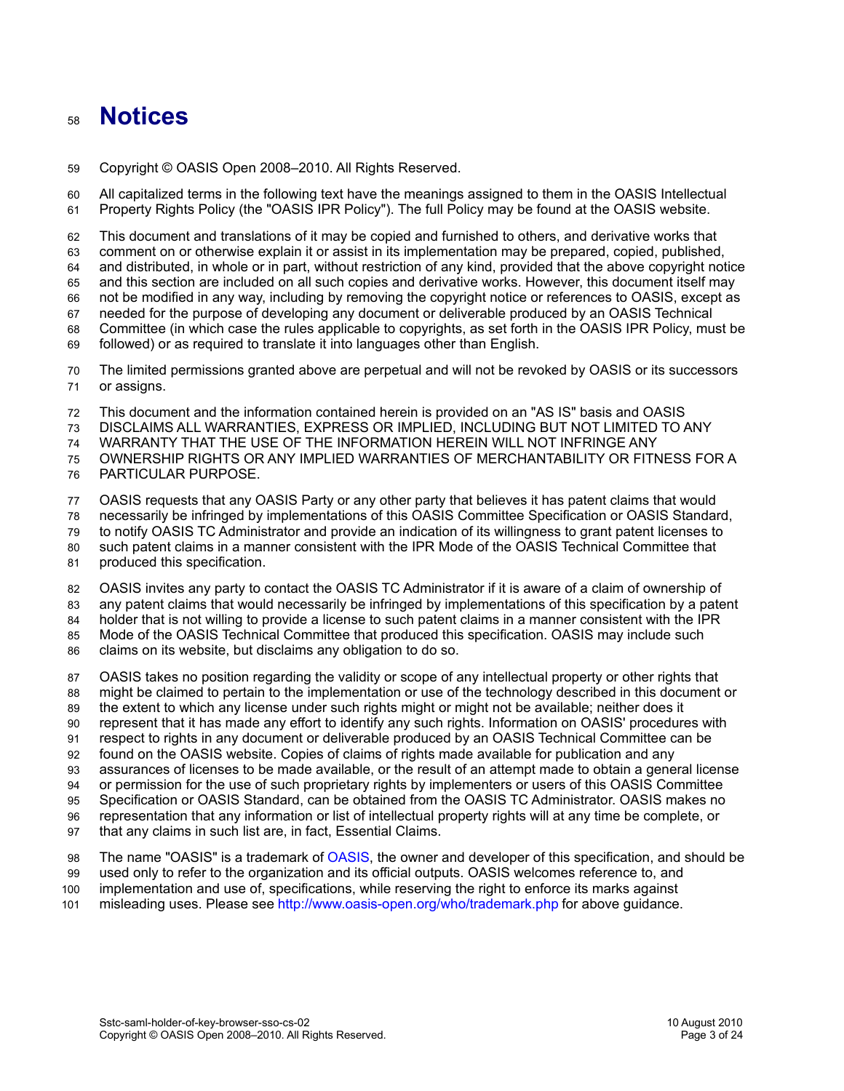### **Notices** 58

Copyright © OASIS Open 2008–2010. All Rights Reserved. 59

All capitalized terms in the following text have the meanings assigned to them in the OASIS Intellectual Property Rights Policy (the "OASIS IPR Policy"). The full Policy may be found at the OASIS website. 60 61

This document and translations of it may be copied and furnished to others, and derivative works that comment on or otherwise explain it or assist in its implementation may be prepared, copied, published, and distributed, in whole or in part, without restriction of any kind, provided that the above copyright notice and this section are included on all such copies and derivative works. However, this document itself may not be modified in any way, including by removing the copyright notice or references to OASIS, except as needed for the purpose of developing any document or deliverable produced by an OASIS Technical Committee (in which case the rules applicable to copyrights, as set forth in the OASIS IPR Policy, must be followed) or as required to translate it into languages other than English. 62 63 64 65 66 67 68 69

The limited permissions granted above are perpetual and will not be revoked by OASIS or its successors or assigns. 70 71

This document and the information contained herein is provided on an "AS IS" basis and OASIS 72

DISCLAIMS ALL WARRANTIES, EXPRESS OR IMPLIED, INCLUDING BUT NOT LIMITED TO ANY 73

WARRANTY THAT THE USE OF THE INFORMATION HEREIN WILL NOT INFRINGE ANY 74

OWNERSHIP RIGHTS OR ANY IMPLIED WARRANTIES OF MERCHANTABILITY OR FITNESS FOR A 75

PARTICULAR PURPOSE. 76

OASIS requests that any OASIS Party or any other party that believes it has patent claims that would 77

necessarily be infringed by implementations of this OASIS Committee Specification or OASIS Standard, 78

to notify OASIS TC Administrator and provide an indication of its willingness to grant patent licenses to 79

such patent claims in a manner consistent with the IPR Mode of the OASIS Technical Committee that 80

produced this specification. 81

OASIS invites any party to contact the OASIS TC Administrator if it is aware of a claim of ownership of 82

any patent claims that would necessarily be infringed by implementations of this specification by a patent 83

holder that is not willing to provide a license to such patent claims in a manner consistent with the IPR 84

Mode of the OASIS Technical Committee that produced this specification. OASIS may include such 85

claims on its website, but disclaims any obligation to do so. 86

OASIS takes no position regarding the validity or scope of any intellectual property or other rights that might be claimed to pertain to the implementation or use of the technology described in this document or the extent to which any license under such rights might or might not be available; neither does it represent that it has made any effort to identify any such rights. Information on OASIS' procedures with respect to rights in any document or deliverable produced by an OASIS Technical Committee can be found on the OASIS website. Copies of claims of rights made available for publication and any assurances of licenses to be made available, or the result of an attempt made to obtain a general license or permission for the use of such proprietary rights by implementers or users of this OASIS Committee Specification or OASIS Standard, can be obtained from the OASIS TC Administrator. OASIS makes no representation that any information or list of intellectual property rights will at any time be complete, or 87 88 89 90 91 92 93 94 95 96

that any claims in such list are, in fact, Essential Claims. **97** 

The name "OASIS" is a trademark of [OASIS,](http://www.oasis-open.org/) the owner and developer of this specification, and should be used only to refer to the organization and its official outputs. OASIS welcomes reference to, and 98 99

implementation and use of, specifications, while reserving the right to enforce its marks against 100

misleading uses. Please see<http://www.oasis-open.org/who/trademark.php>for above guidance. 101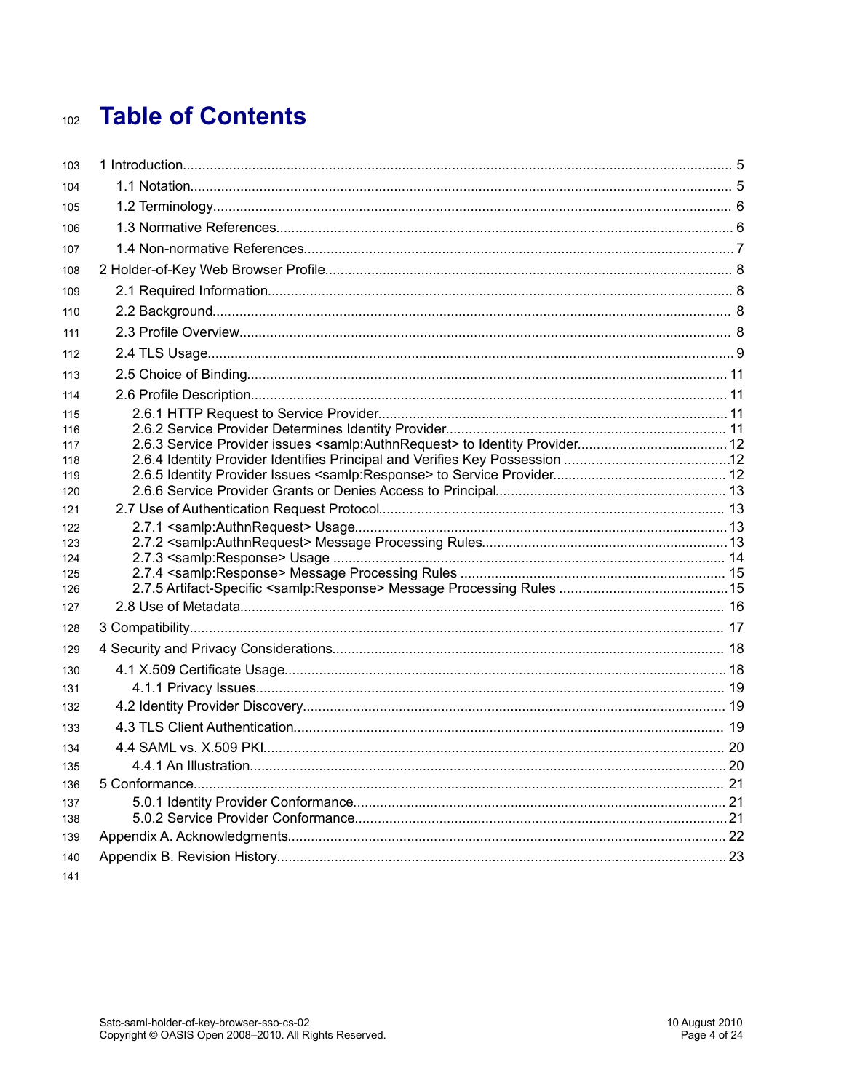# **Table of Contents**  $102$

| 103        |  |
|------------|--|
| 104        |  |
| 105        |  |
| 106        |  |
| 107        |  |
| 108        |  |
| 109        |  |
| 110        |  |
| 111        |  |
| 112        |  |
| 113        |  |
| 114        |  |
| 115        |  |
| 116        |  |
| 117        |  |
| 118        |  |
| 119        |  |
| 120<br>121 |  |
| 122        |  |
| 123        |  |
| 124        |  |
| 125        |  |
| 126        |  |
| 127        |  |
| 128        |  |
| 129        |  |
| 130        |  |
| 131        |  |
| 132        |  |
| 133        |  |
| 134        |  |
| 135        |  |
| 136        |  |
| 137        |  |
| 138        |  |
| 139        |  |
| 140        |  |
| 141        |  |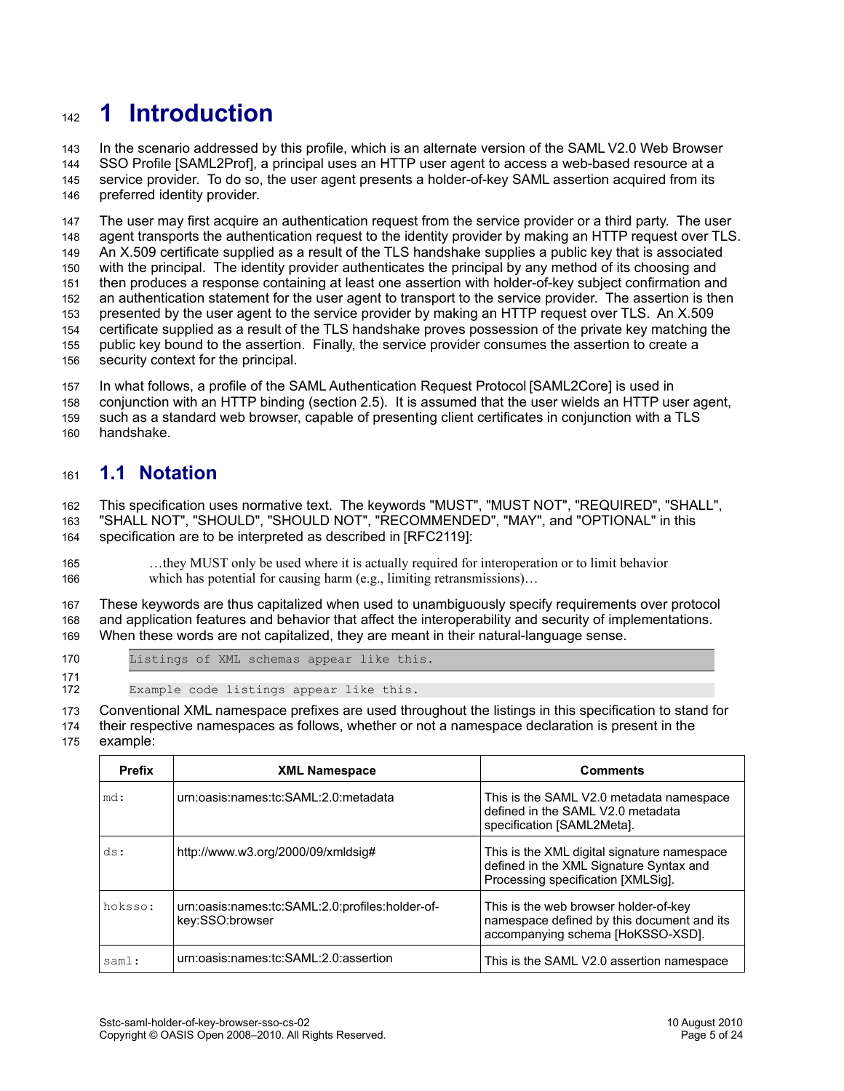# **1 Introduction** 142

In the scenario addressed by this profile, which is an alternate version of the SAML V2.0 Web Browser SSO Profile [\[SAML2Prof\],](#page-6-0) a principal uses an HTTP user agent to access a web-based resource at a service provider. To do so, the user agent presents a holder-of-key SAML assertion acquired from its preferred identity provider. 143 144 145 146

The user may first acquire an authentication request from the service provider or a third party. The user agent transports the authentication request to the identity provider by making an HTTP request over TLS. An X.509 certificate supplied as a result of the TLS handshake supplies a public key that is associated with the principal. The identity provider authenticates the principal by any method of its choosing and then produces a response containing at least one assertion with holder-of-key subject confirmation and an authentication statement for the user agent to transport to the service provider. The assertion is then presented by the user agent to the service provider by making an HTTP request over TLS. An X.509 certificate supplied as a result of the TLS handshake proves possession of the private key matching the public key bound to the assertion. Finally, the service provider consumes the assertion to create a security context for the principal. 147 148 149 150 151 152 153 154 155 156

In what follows, a profile of the SAML Authentication Request Protocol [\[SAML2Core\]](#page-5-3) is used in conjunction with an HTTP binding (section [2.5\)](#page-10-0). It is assumed that the user wields an HTTP user agent, such as a standard web browser, capable of presenting client certificates in conjunction with a TLS handshake. 157 158 159 160

#### **1.1 Notation** 161

This specification uses normative text. The keywords "MUST", "MUST NOT", "REQUIRED", "SHALL", "SHALL NOT", "SHOULD", "SHOULD NOT", "RECOMMENDED", "MAY", and "OPTIONAL" in this specification are to be interpreted as described in [\[RFC2119\]:](#page-5-2) 162 163 164

…they MUST only be used where it is actually required for interoperation or to limit behavior which has potential for causing harm (e.g., limiting retransmissions)... 165 166

These keywords are thus capitalized when used to unambiguously specify requirements over protocol and application features and behavior that affect the interoperability and security of implementations. When these words are not capitalized, they are meant in their natural-language sense. 167 168 169

170

Listings of XML schemas appear like this.

Example code listings appear like this. 171 172

Conventional XML namespace prefixes are used throughout the listings in this specification to stand for their respective namespaces as follows, whether or not a namespace declaration is present in the 173 174

#### example: 175

| <b>Prefix</b> | <b>XML Namespace</b>                                               | <b>Comments</b>                                                                                                              |
|---------------|--------------------------------------------------------------------|------------------------------------------------------------------------------------------------------------------------------|
| md:           | urn:oasis:names:tc:SAML:2.0:metadata                               | This is the SAML V2.0 metadata namespace<br>defined in the SAML V2.0 metadata<br>specification [SAML2Meta].                  |
| ds:           | http://www.w3.org/2000/09/xmldsig#                                 | This is the XML digital signature namespace<br>defined in the XML Signature Syntax and<br>Processing specification [XMLSig]. |
| hoksso:       | urn:oasis:names:tc:SAML:2.0:profiles:holder-of-<br>key:SSO:browser | This is the web browser holder-of-key<br>namespace defined by this document and its<br>accompanying schema [HoKSSO-XSD].     |
| saml:         | urn:oasis:names:tc:SAML:2.0:assertion                              | This is the SAML V2.0 assertion namespace                                                                                    |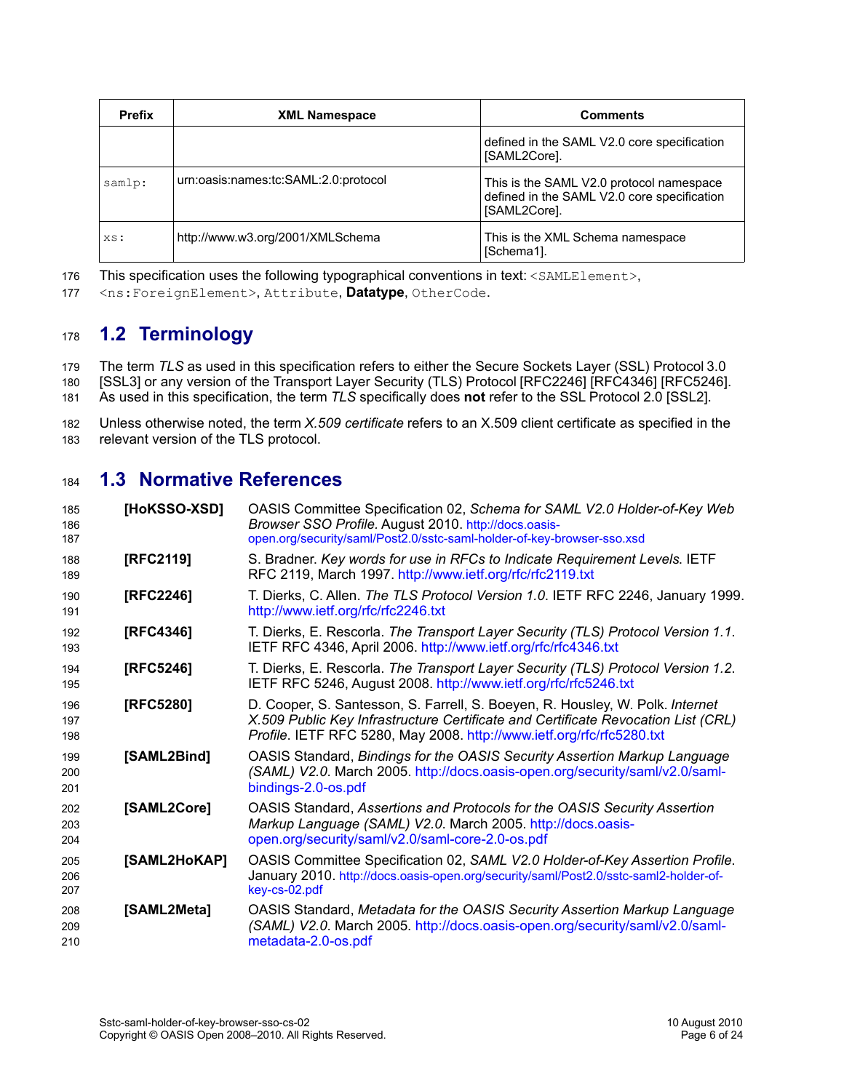| <b>Prefix</b> | <b>XML Namespace</b>                 | <b>Comments</b>                                                                                         |
|---------------|--------------------------------------|---------------------------------------------------------------------------------------------------------|
|               |                                      | defined in the SAML V2.0 core specification<br>[SAML2Core].                                             |
| samlp:        | urn:oasis:names:tc:SAML:2.0:protocol | This is the SAML V2.0 protocol namespace<br>defined in the SAML V2.0 core specification<br>[SAML2Core]. |
| XS:           | http://www.w3.org/2001/XMLSchema     | This is the XML Schema namespace<br>∣ISchema1].                                                         |

This specification uses the following typographical conventions in text: <SAMLElement>, 176

<ns:ForeignElement>, Attribute, **Datatype**, OtherCode. 177

#### <span id="page-5-10"></span>**1.2 Terminology** 178

The term *TLS* as used in this specification refers to either the Secure Sockets Layer (SSL) Protocol3.0 [\[SSL3\]](#page-6-3) or any version of the Transport Layer Security (TLS) Protocol [\[RFC2246\]](#page-5-6) [\[RFC4346\]](#page-5-5) [\[RFC5246\].](#page-5-4) As used in this specification, the term *TLS* specifically does **not** refer to the SSL Protocol 2.0 [\[SSL2\].](#page-6-2) 179 180 181

Unless otherwise noted, the term *X.509 certificate* refers to an X.509 client certificate as specified in the relevant version of the TLS protocol. 182 183

#### **1.3 Normative References** 184

<span id="page-5-9"></span><span id="page-5-8"></span><span id="page-5-7"></span><span id="page-5-6"></span><span id="page-5-5"></span><span id="page-5-4"></span><span id="page-5-3"></span><span id="page-5-2"></span><span id="page-5-1"></span><span id="page-5-0"></span>

| 185<br>186<br>187 | [HoKSSO-XSD] | OASIS Committee Specification 02, Schema for SAML V2.0 Holder-of-Key Web<br>Browser SSO Profile. August 2010. http://docs.oasis-<br>open.org/security/saml/Post2.0/sstc-saml-holder-of-key-browser-sso.xsd                                  |
|-------------------|--------------|---------------------------------------------------------------------------------------------------------------------------------------------------------------------------------------------------------------------------------------------|
| 188<br>189        | [RFC2119]    | S. Bradner. Key words for use in RFCs to Indicate Requirement Levels. IETF<br>RFC 2119, March 1997. http://www.ietf.org/rfc/rfc2119.txt                                                                                                     |
| 190<br>191        | [RFC2246]    | T. Dierks, C. Allen. The TLS Protocol Version 1.0. IETF RFC 2246, January 1999.<br>http://www.ietf.org/rfc/rfc2246.txt                                                                                                                      |
| 192<br>193        | [RFC4346]    | T. Dierks, E. Rescorla. The Transport Layer Security (TLS) Protocol Version 1.1.<br>IETF RFC 4346, April 2006. http://www.ietf.org/rfc/rfc4346.txt                                                                                          |
| 194<br>195        | [RFC5246]    | T. Dierks, E. Rescorla. The Transport Layer Security (TLS) Protocol Version 1.2.<br>IETF RFC 5246, August 2008. http://www.ietf.org/rfc/rfc5246.txt                                                                                         |
| 196<br>197<br>198 | [RFC5280]    | D. Cooper, S. Santesson, S. Farrell, S. Boeyen, R. Housley, W. Polk. Internet<br>X.509 Public Key Infrastructure Certificate and Certificate Revocation List (CRL)<br>Profile. IETF RFC 5280, May 2008. http://www.ietf.org/rfc/rfc5280.txt |
| 199<br>200<br>201 | [SAML2Bind]  | <b>OASIS Standard, Bindings for the OASIS Security Assertion Markup Language</b><br>(SAML) V2.0. March 2005. http://docs.oasis-open.org/security/saml/v2.0/saml-<br>bindings-2.0-os.pdf                                                     |
| 202<br>203<br>204 | [SAML2Core]  | OASIS Standard, Assertions and Protocols for the OASIS Security Assertion<br>Markup Language (SAML) V2.0. March 2005. http://docs.oasis-<br>open.org/security/saml/v2.0/saml-core-2.0-os.pdf                                                |
| 205<br>206<br>207 | [SAML2HoKAP] | OASIS Committee Specification 02, SAML V2.0 Holder-of-Key Assertion Profile.<br>January 2010. http://docs.oasis-open.org/security/saml/Post2.0/sstc-saml2-holder-of-<br>key-cs-02.pdf                                                       |
| 208<br>209<br>210 | [SAML2Meta]  | OASIS Standard, Metadata for the OASIS Security Assertion Markup Language<br>(SAML) V2.0. March 2005. http://docs.oasis-open.org/security/saml/v2.0/saml-<br>metadata-2.0-os.pdf                                                            |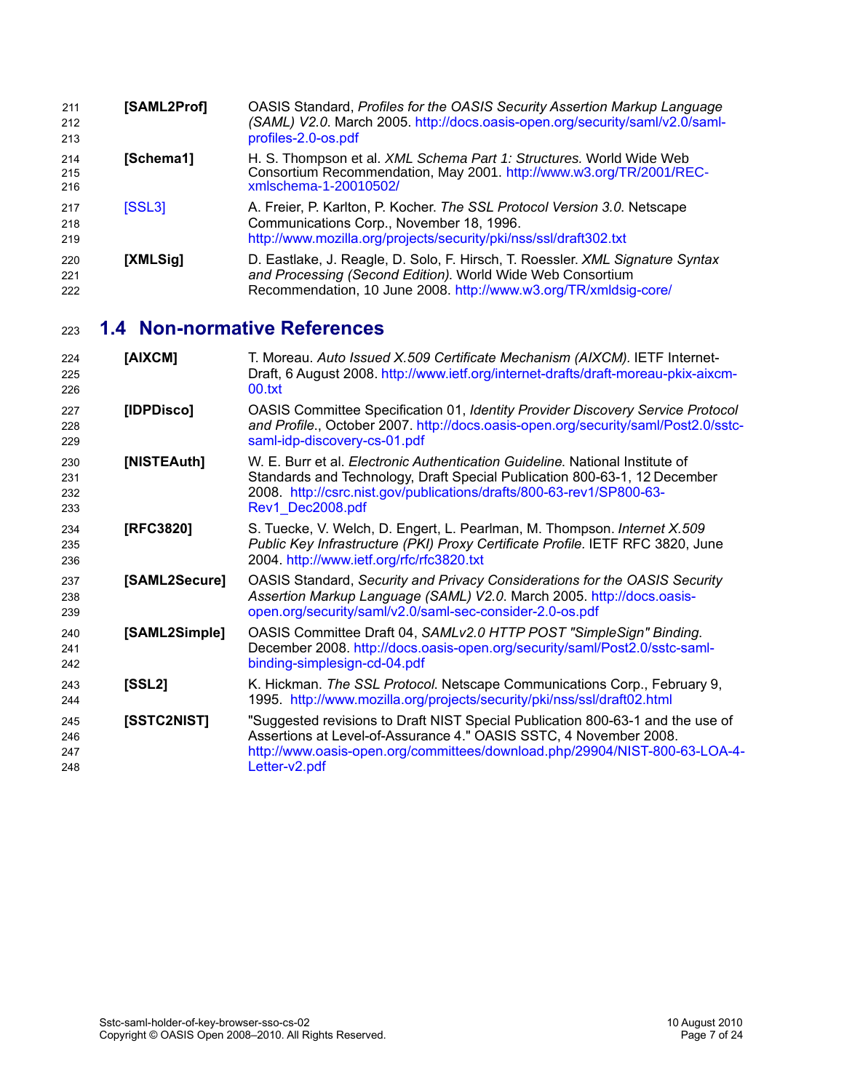<span id="page-6-4"></span><span id="page-6-3"></span><span id="page-6-0"></span>

| 211<br>212<br>213 | [SAML2Prof] | OASIS Standard, Profiles for the OASIS Security Assertion Markup Language<br>(SAML) V2.0. March 2005. http://docs.oasis-open.org/security/saml/v2.0/saml-<br>profiles-2.0-os.pdf                                |
|-------------------|-------------|-----------------------------------------------------------------------------------------------------------------------------------------------------------------------------------------------------------------|
| 214<br>215<br>216 | [Schema1]   | H. S. Thompson et al. XML Schema Part 1: Structures. World Wide Web<br>Consortium Recommendation, May 2001. http://www.w3.org/TR/2001/REC-<br>xmlschema-1-20010502/                                             |
| 217<br>218<br>219 | [SSL3]      | A. Freier, P. Karlton, P. Kocher. The SSL Protocol Version 3.0. Netscape<br>Communications Corp., November 18, 1996.<br>http://www.mozilla.org/projects/security/pki/nss/ssl/draft302.txt                       |
| 220<br>221<br>222 | [XMLSig]    | D. Eastlake, J. Reagle, D. Solo, F. Hirsch, T. Roessler. XML Signature Syntax<br>and Processing (Second Edition). World Wide Web Consortium<br>Recommendation, 10 June 2008. http://www.w3.org/TR/xmldsig-core/ |

#### <span id="page-6-1"></span>**1.4 Non-normative References** 223

<span id="page-6-11"></span><span id="page-6-10"></span><span id="page-6-9"></span><span id="page-6-8"></span><span id="page-6-7"></span><span id="page-6-6"></span><span id="page-6-5"></span><span id="page-6-2"></span>

| 224<br>225<br>226        | [AIXCM]       | T. Moreau. Auto Issued X.509 Certificate Mechanism (AIXCM). IETF Internet-<br>Draft, 6 August 2008. http://www.ietf.org/internet-drafts/draft-moreau-pkix-aixcm-<br>00.txt                                                                                    |
|--------------------------|---------------|---------------------------------------------------------------------------------------------------------------------------------------------------------------------------------------------------------------------------------------------------------------|
| 227<br>228<br>229        | [IDPDisco]    | <b>OASIS Committee Specification 01, Identity Provider Discovery Service Protocol</b><br>and Profile., October 2007. http://docs.oasis-open.org/security/saml/Post2.0/sstc-<br>saml-idp-discovery-cs-01.pdf                                                   |
| 230<br>231<br>232<br>233 | [NISTEAuth]   | W. E. Burr et al. <i>Electronic Authentication Guideline</i> . National Institute of<br>Standards and Technology, Draft Special Publication 800-63-1, 12 December<br>2008. http://csrc.nist.gov/publications/drafts/800-63-rev1/SP800-63-<br>Rev1 Dec2008.pdf |
| 234<br>235<br>236        | [RFC3820]     | S. Tuecke, V. Welch, D. Engert, L. Pearlman, M. Thompson. Internet X.509<br>Public Key Infrastructure (PKI) Proxy Certificate Profile. IETF RFC 3820, June<br>2004. http://www.ietf.org/rfc/rfc3820.txt                                                       |
| 237<br>238<br>239        | [SAML2Secure] | OASIS Standard, Security and Privacy Considerations for the OASIS Security<br>Assertion Markup Language (SAML) V2.0. March 2005. http://docs.oasis-<br>open.org/security/saml/v2.0/saml-sec-consider-2.0-os.pdf                                               |
| 240<br>241<br>242        | [SAML2Simple] | OASIS Committee Draft 04, SAMLv2.0 HTTP POST "SimpleSign" Binding.<br>December 2008. http://docs.oasis-open.org/security/saml/Post2.0/sstc-saml-<br>binding-simplesign-cd-04.pdf                                                                              |
| 243<br>244               | [SSL2]        | K. Hickman. The SSL Protocol. Netscape Communications Corp., February 9,<br>1995. http://www.mozilla.org/projects/security/pki/nss/ssl/draft02.html                                                                                                           |
| 245<br>246<br>247<br>248 | [SSTC2NIST]   | "Suggested revisions to Draft NIST Special Publication 800-63-1 and the use of<br>Assertions at Level-of-Assurance 4." OASIS SSTC, 4 November 2008.<br>http://www.oasis-open.org/committees/download.php/29904/NIST-800-63-LOA-4-<br>Letter-v2.pdf            |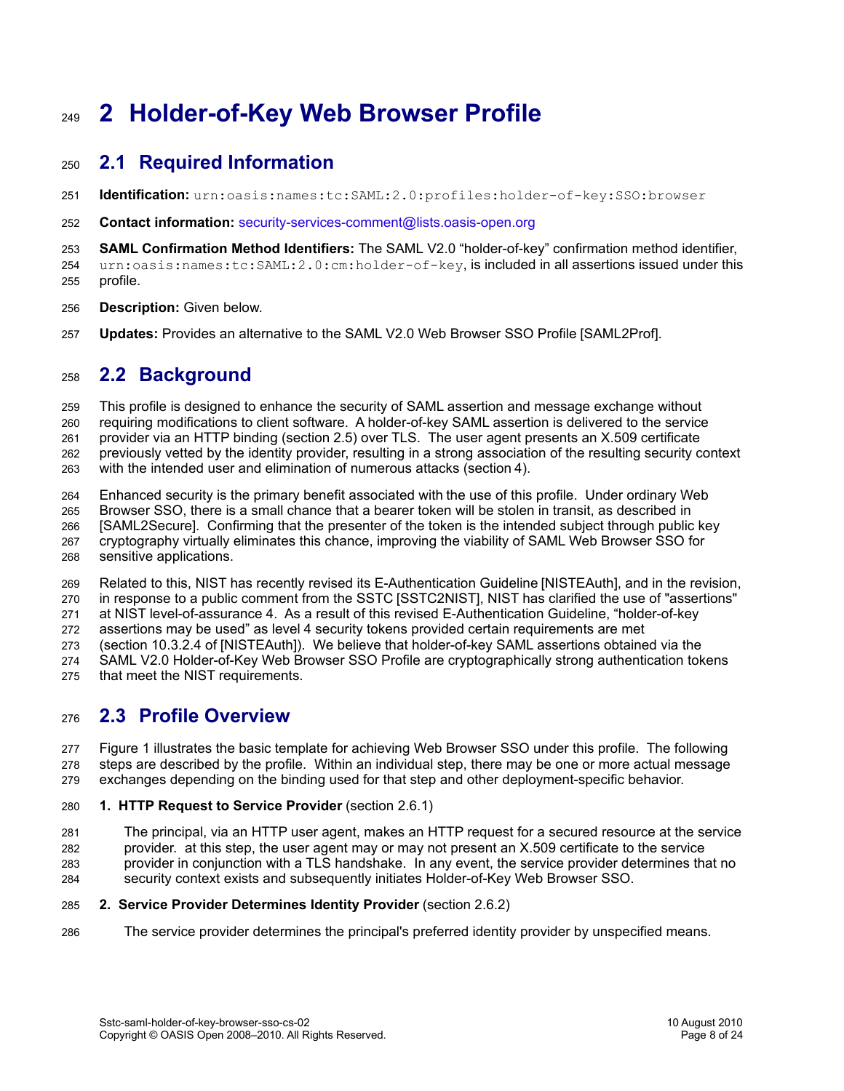# **2 Holder-of-Key Web Browser Profile** 249

#### **2.1 Required Information** 250

- **Identification:** urn:oasis:names:tc:SAML:2.0:profiles:holder-of-key:SSO:browser 251
- **Contact information:** [security-services-comment@lists.oasis-open.org](mailto:security-services-comment@lists.oasis-open.org) 252

**SAML Confirmation Method Identifiers:** The SAML V2.0 "holder-of-key" confirmation method identifier, 253

urn:oasis:names:tc:SAML:2.0:cm:holder-of-key, is included in all assertions issued under this profile. 254 255

- **Description:** Given below. 256
- **Updates:** Provides an alternative to the SAML V2.0 Web Browser SSO Profile [\[SAML2Prof\].](#page-6-0) 257

#### **2.2 Background** 258

This profile is designed to enhance the security of SAML assertion and message exchange without 259

requiring modifications to client software. A holder-of-key SAML assertion is delivered to the service 260

provider via an HTTP binding (section [2.5\)](#page-10-0) over TLS. The user agent presents an X.509 certificate 261

previously vetted by the identity provider, resulting in a strong association of the resulting security context 262

with the intended user and elimination of numerous attacks (section [4\)](#page-18-0). 263

Enhanced security is the primary benefit associated with the use of this profile. Under ordinary Web 264

Browser SSO, there is a small chance that a bearer token will be stolen in transit, as described in [\[SAML2Secure\].](#page-6-7) Confirming that the presenter of the token is the intended subject through public key 265 266

- cryptography virtually eliminates this chance, improving the viability of SAML Web Browser SSO for 267
- sensitive applications. 268

Related to this, NIST has recently revised its E-Authentication Guideline [\[NISTEAuth\],](#page-6-5) and in the revision, 269

in response to a public comment from the SSTC [\[SSTC2NIST\],](#page-6-6) NIST has clarified the use of "assertions" 270

at NIST level-of-assurance 4. As a result of this revised E-Authentication Guideline, "holder-of-key 271

assertions may be used" as level 4 security tokens provided certain requirements are met 272

(section 10.3.2.4 of [\[NISTEAuth\]\)](#page-6-5). We believe that holder-of-key SAML assertions obtained via the 273

SAML V2.0 Holder-of-Key Web Browser SSO Profile are cryptographically strong authentication tokens that meet the NIST requirements. 274 275

#### **2.3 Profile Overview** 276

[Figure 1](#page-9-0) illustrates the basic template for achieving Web Browser SSO under this profile. The following steps are described by the profile. Within an individual step, there may be one or more actual message exchanges depending on the binding used for that step and other deployment-specific behavior. 277 278 279

- **1. HTTP Request to Service Provider** (section [2.6.1\)](#page-10-2) 280
- The principal, via an HTTP user agent, makes an HTTP request for a secured resource at the service provider. at this step, the user agent may or may not present an X.509 certificate to the service provider in conjunction with a TLS handshake. In any event, the service provider determines that no security context exists and subsequently initiates Holder-of-Key Web Browser SSO. 281 282 283 284

#### **2. Service Provider Determines Identity Provider** (section [2.6.2\)](#page-10-1) 285

The service provider determines the principal's preferred identity provider by unspecified means. 286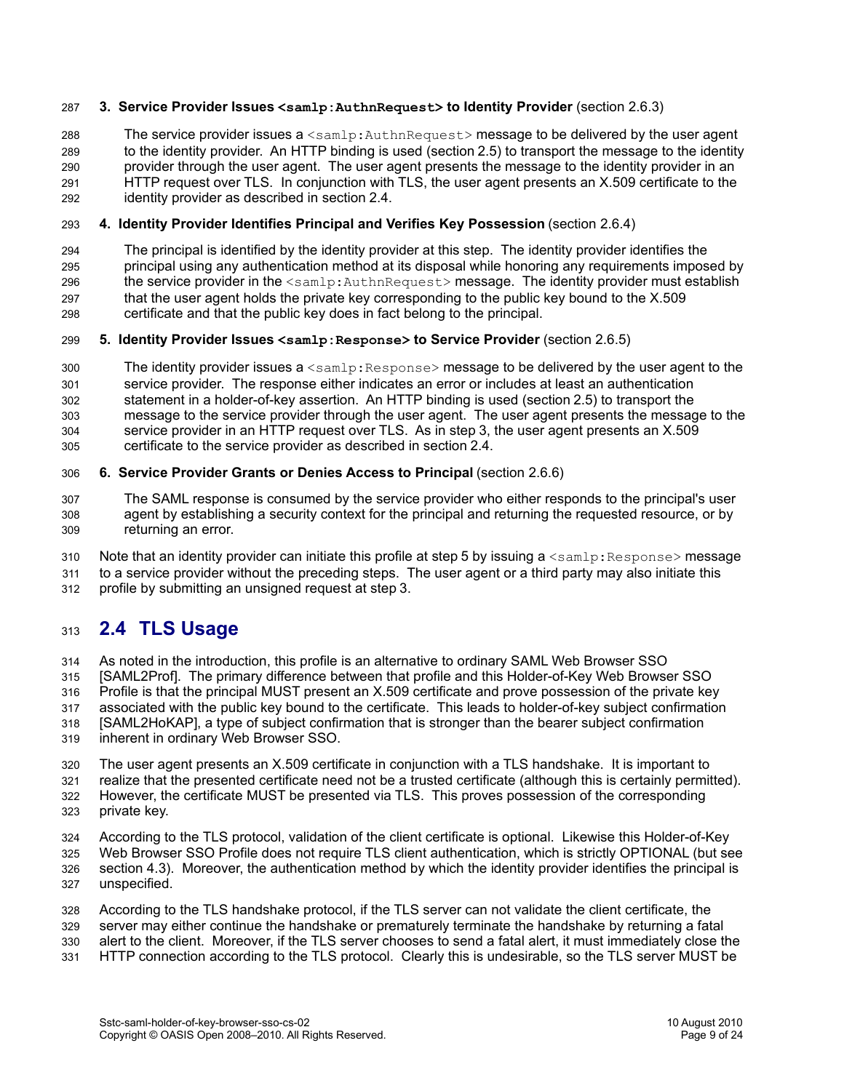#### **3. Service Provider Issues <samlp:AuthnRequest> to Identity Provider** (section [2.6.3\)](#page-11-2) 287

The service provider issues a <samlp:AuthnRequest> message to be delivered by the user agent to the identity provider. An HTTP binding is used (section [2.5\)](#page-10-0) to transport the message to the identity provider through the user agent. The user agent presents the message to the identity provider in an HTTP request over TLS. In conjunction with TLS, the user agent presents an X.509 certificate to the identity provider as described in section [2.4.](#page-8-0) 288 289 290 291 292

#### **4. Identity Provider Identifies Principal and Verifies Key Possession** (section [2.6.4\)](#page-11-1) 293

The principal is identified by the identity provider at this step. The identity provider identifies the principal using any authentication method at its disposal while honoring any requirements imposed by the service provider in the <samlp: AuthnRequest> message. The identity provider must establish that the user agent holds the private key corresponding to the public key bound to the X.509 certificate and that the public key does in fact belong to the principal. 294 295 296 297 298

#### **5. Identity Provider Issues <samlp:Response> to Service Provider** (section [2.6.5\)](#page-11-0) 299

The identity provider issues  $a \leq \text{sample}$ : Response $>$  message to be delivered by the user agent to the service provider. The response either indicates an error or includes at least an authentication statement in a holder-of-key assertion. An HTTP binding is used (section [2.5\)](#page-10-0) to transport the message to the service provider through the user agent. The user agent presents the message to the service provider in an HTTP request over TLS. As in step 3, the user agent presents an X.509 certificate to the service provider as described in section [2.4.](#page-8-0) 300 301 302 303 304 305

#### **6. Service Provider Grants or Denies Access to Principal** (section [2.6.6\)](#page-12-0) 306

The SAML response is consumed by the service provider who either responds to the principal's user agent by establishing a security context for the principal and returning the requested resource, or by returning an error. 307 308 309

Note that an identity provider can initiate this profile at step 5 by issuing a  $\leq$ samlp: Response> message 310

to a service provider without the preceding steps. The user agent or a third party may also initiate this 311

profile by submitting an unsigned request at step 3. 312

#### <span id="page-8-0"></span>**2.4 TLS Usage** 313

As noted in the introduction, this profile is an alternative to ordinary SAML Web Browser SSO [\[SAML2Prof\].](#page-6-0) The primary difference between that profile and this Holder-of-Key Web Browser SSO Profile is that the principal MUST present an X.509 certificate and prove possession of the private key associated with the public key bound to the certificate. This leads to holder-of-key subject confirmation [\[SAML2HoKAP\],](#page-5-7) a type of subject confirmation that is stronger than the bearer subject confirmation inherent in ordinary Web Browser SSO. 314 315 316 317 318 319

The user agent presents an X.509 certificate in conjunction with a TLS handshake. It is important to realize that the presented certificate need not be a trusted certificate (although this is certainly permitted). However, the certificate MUST be presented via TLS. This proves possession of the corresponding private key. 320 321 322 323

According to the TLS protocol, validation of the client certificate is optional. Likewise this Holder-of-Key Web Browser SSO Profile does not require TLS client authentication, which is strictly OPTIONAL (but see section [4.3\)](#page-19-0). Moreover, the authentication method by which the identity provider identifies the principal is unspecified. 324 325 326 327

According to the TLS handshake protocol, if the TLS server can not validate the client certificate, the server may either continue the handshake or prematurely terminate the handshake by returning a fatal alert to the client. Moreover, if the TLS server chooses to send a fatal alert, it must immediately close the HTTP connection according to the TLS protocol. Clearly this is undesirable, so the TLS server MUST be 328 329 330 331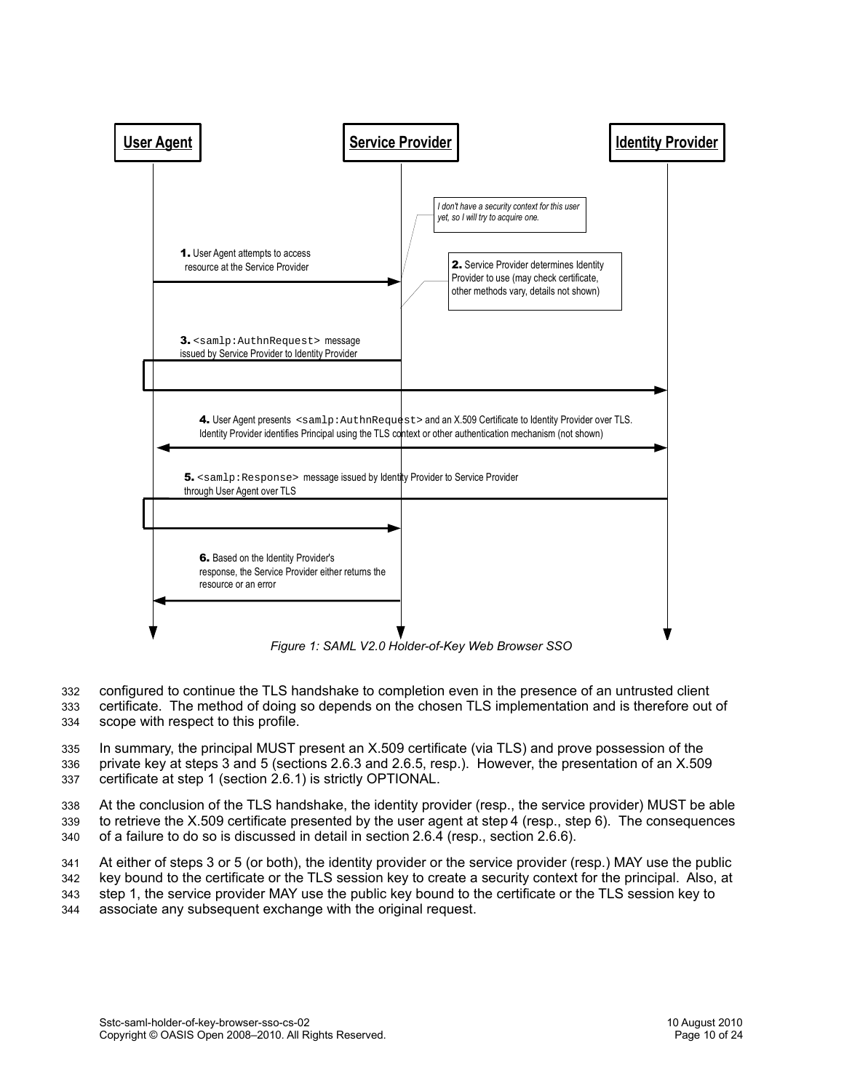

<span id="page-9-0"></span>*Figure 1: SAML V2.0 Holder-of-Key Web Browser SSO*

configured to continue the TLS handshake to completion even in the presence of an untrusted client certificate. The method of doing so depends on the chosen TLS implementation and is therefore out of scope with respect to this profile. 332 333 334

In summary, the principal MUST present an X.509 certificate (via TLS) and prove possession of the private key at steps 3 and 5 (sections [2.6.3](#page-11-2) and [2.6.5,](#page-11-0) resp.). However, the presentation of an X.509 certificate at step 1 (section [2.6.1\)](#page-10-2) is strictly OPTIONAL. 335 336 337

At the conclusion of the TLS handshake, the identity provider (resp., the service provider) MUST be able to retrieve the X.509 certificate presented by the user agent at step4 (resp., step 6). The consequences of a failure to do so is discussed in detail in section [2.6.4](#page-11-1) (resp., section [2.6.6\)](#page-12-0). 338 339 340

At either of steps 3 or 5 (or both), the identity provider or the service provider (resp.) MAY use the public 341

key bound to the certificate or the TLS session key to create a security context for the principal. Also, at step 1, the service provider MAY use the public key bound to the certificate or the TLS session key to 342

associate any subsequent exchange with the original request. 343 344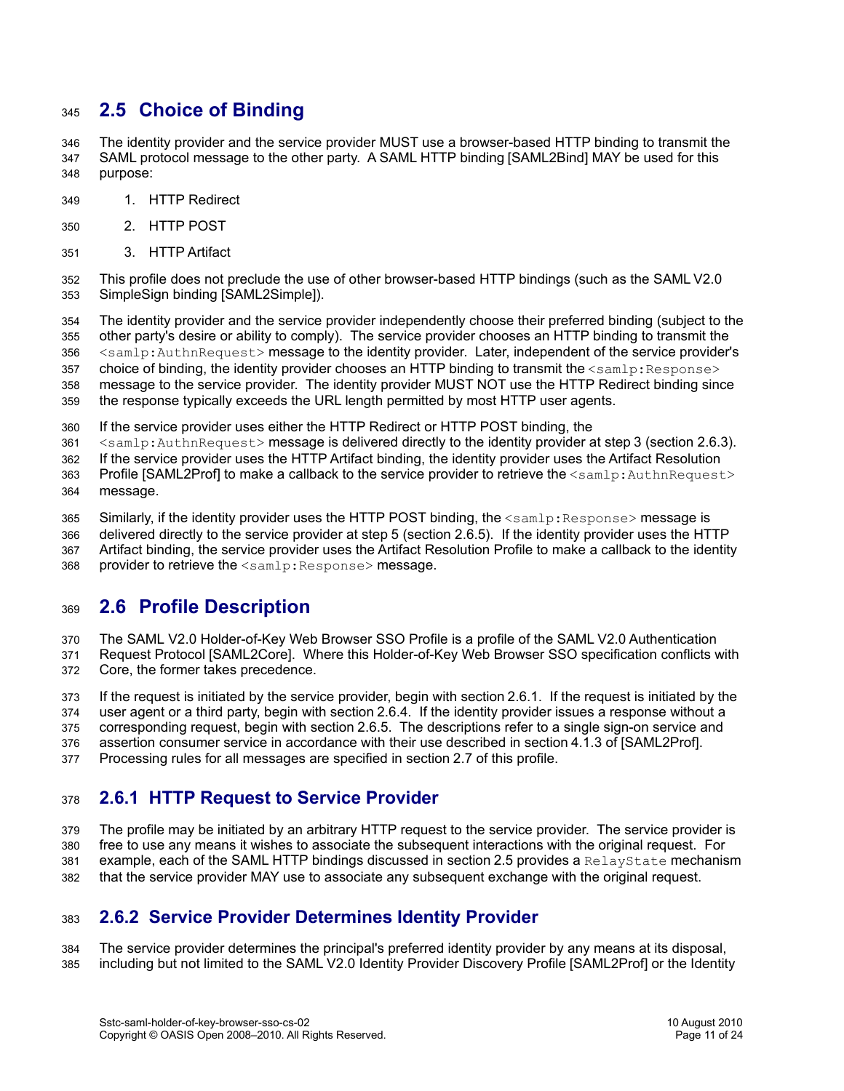#### <span id="page-10-0"></span>**2.5 Choice of Binding** 345

The identity provider and the service provider MUST use a browser-based HTTP binding to transmit the SAML protocol message to the other party. A SAML HTTP binding [\[SAML2Bind\]](#page-5-8) MAY be used for this purpose: 346 347 348

- 1. HTTP Redirect 349
- 2. HTTP POST 350
- 3. HTTP Artifact 351

This profile does not preclude the use of other browser-based HTTP bindings (such as the SAML V2.0 SimpleSign binding [\[SAML2Simple\]\)](#page-6-8). 352 353

The identity provider and the service provider independently choose their preferred binding (subject to the other party's desire or ability to comply). The service provider chooses an HTTP binding to transmit the <samlp:AuthnRequest> message to the identity provider. Later, independent of the service provider's choice of binding, the identity provider chooses an HTTP binding to transmit the  $\leq$ samlp: Response> message to the service provider. The identity provider MUST NOT use the HTTP Redirect binding since 354 355 356 357 358

the response typically exceeds the URL length permitted by most HTTP user agents. 359

If the service provider uses either the HTTP Redirect or HTTP POST binding, the 360

<samlp:AuthnRequest> message is delivered directly to the identity provider at step 3 (section [2.6.3\)](#page-11-2). 361

If the service provider uses the HTTP Artifact binding, the identity provider uses the Artifact Resolution 362

Profile [\[SAML2Prof\]](#page-6-0) to make a callback to the service provider to retrieve the <samlp:AuthnRequest> message. 363 364

Similarly, if the identity provider uses the HTTP POST binding, the  $\leq$ samlp: Response> message is 365

delivered directly to the service provider at step 5 (section [2.6.5\)](#page-11-0). If the identity provider uses the HTTP Artifact binding, the service provider uses the Artifact Resolution Profile to make a callback to the identity 366 367

provider to retrieve the <samlp:Response> message. 368

#### **2.6 Profile Description** 369

The SAML V2.0 Holder-of-Key Web Browser SSO Profile is a profile of the SAML V2.0 Authentication 370

Request Protocol [\[SAML2Core\].](#page-5-3) Where this Holder-of-Key Web Browser SSO specification conflicts with Core, the former takes precedence. 371 372

If the request is initiated by the service provider, begin with section [2.6.1.](#page-10-2) If the request is initiated by the user agent or a third party, begin with section [2.6.4.](#page-11-1) If the identity provider issues a response without a corresponding request, begin with section [2.6.5.](#page-11-0) The descriptions refer to a single sign-on service and 373 374 375

assertion consumer service in accordance with their use described in section 4.1.3 of [\[SAML2Prof\].](#page-6-0) 376

Processing rules for all messages are specified in section [2.7](#page-12-1) of this profile. 377

#### <span id="page-10-2"></span>**2.6.1 HTTP Request to Service Provider** 378

The profile may be initiated by an arbitrary HTTP request to the service provider. The service provider is free to use any means it wishes to associate the subsequent interactions with the original request. For example, each of the SAML HTTP bindings discussed in section [2.5](#page-10-0) provides a RelayState mechanism that the service provider MAY use to associate any subsequent exchange with the original request. 379 380 381 382

#### <span id="page-10-1"></span>**2.6.2 Service Provider Determines Identity Provider** 383

The service provider determines the principal's preferred identity provider by any means at its disposal, including but not limited to the SAML V2.0 Identity Provider Discovery Profile [\[SAML2Prof\]](#page-6-0) or the Identity 384 385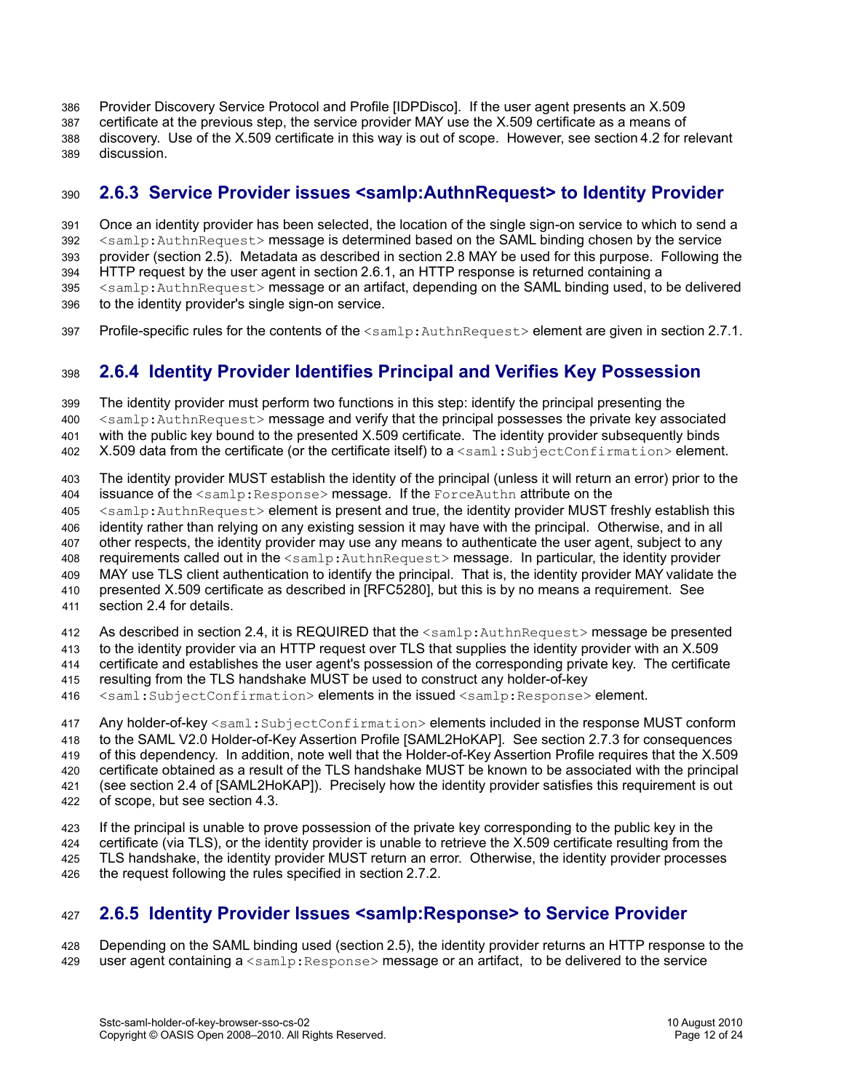Provider Discovery Service Protocol and Profile [\[IDPDisco\].](#page-6-9) If the user agent presents an X.509 certificate at the previous step, the service provider MAY use the X.509 certificate as a means of discovery. Use of the X.509 certificate in this way is out of scope. However, see section[4.2](#page-19-1) for relevant discussion. 386 387 388 389

#### <span id="page-11-2"></span>**2.6.3 Service Provider issues <samlp:AuthnRequest> to Identity Provider** 390

Once an identity provider has been selected, the location of the single sign-on service to which to send a <samlp:AuthnRequest> message is determined based on the SAML binding chosen by the service provider (section [2.5\)](#page-10-0). Metadata as described in section [2.8](#page-15-0) MAY be used for this purpose. Following the HTTP request by the user agent in section [2.6.1,](#page-10-2) an HTTP response is returned containing a <samlp:AuthnRequest> message or an artifact, depending on the SAML binding used, to be delivered to the identity provider's single sign-on service. 391 392 393 394 395 396

Profile-specific rules for the contents of the  $\leq$ samlp:AuthnRequest> element are given in section [2.7.1.](#page-12-2) 397

#### <span id="page-11-1"></span>**2.6.4 Identity Provider Identifies Principal and Verifies Key Possession** 398

The identity provider must perform two functions in this step: identify the principal presenting the <samlp:AuthnRequest> message and verify that the principal possesses the private key associated with the public key bound to the presented X.509 certificate. The identity provider subsequently binds X.509 data from the certificate (or the certificate itself) to a <saml: SubjectConfirmation> element. 399 400 401 402

The identity provider MUST establish the identity of the principal (unless it will return an error) prior to the issuance of the  $\leq$ samlp:Response> message. If the ForceAuthn attribute on the 403 404

<samlp:AuthnRequest> element is present and true, the identity provider MUST freshly establish this 405

identity rather than relying on any existing session it may have with the principal. Otherwise, and in all 406

other respects, the identity provider may use any means to authenticate the user agent, subject to any 407

requirements called out in the <samlp:AuthnRequest> message. In particular, the identity provider 408

MAY use TLS client authentication to identify the principal. That is, the identity provider MAY validate the 409

presented X.509 certificate as described in [\[RFC5280\],](#page-5-9) but this is by no means a requirement. See section [2.4](#page-8-0) for details. 410 411

As described in section [2.4,](#page-8-0) it is REQUIRED that the <samlp:AuthnRequest> message be presented 412

to the identity provider via an HTTP request over TLS that supplies the identity provider with an X.509 413

certificate and establishes the user agent's possession of the corresponding private key. The certificate 414

resulting from the TLS handshake MUST be used to construct any holder-of-key 415

<saml:SubjectConfirmation> elements in the issued <samlp:Response> element. 416

Any holder-of-key <saml: SubjectConfirmation> elements included in the response MUST conform to the SAML V2.0 Holder-of-Key Assertion Profile [\[SAML2HoKAP\].](#page-5-7) See section [2.7.3](#page-13-1) for consequences of this dependency. In addition, note well that the Holder-of-Key Assertion Profile requires that the X.509 certificate obtained as a result of the TLS handshake MUST be known to be associated with the principal (see section 2.4 of [\[SAML2HoKAP\]\)](#page-5-7). Precisely how the identity provider satisfies this requirement is out of scope, but see section [4.3.](#page-19-0) 417 418 419 420 421 422

If the principal is unable to prove possession of the private key corresponding to the public key in the certificate (via TLS), or the identity provider is unable to retrieve the X.509 certificate resulting from the TLS handshake, the identity provider MUST return an error. Otherwise, the identity provider processes the request following the rules specified in section [2.7.2.](#page-13-0) 423 424 425 426

#### <span id="page-11-0"></span>**2.6.5 Identity Provider Issues <samlp:Response> to Service Provider** 427

Depending on the SAML binding used (section [2.5\)](#page-10-0), the identity provider returns an HTTP response to the user agent containing  $a \leq \text{sample}$ : Response> message or an artifact, to be delivered to the service 428 429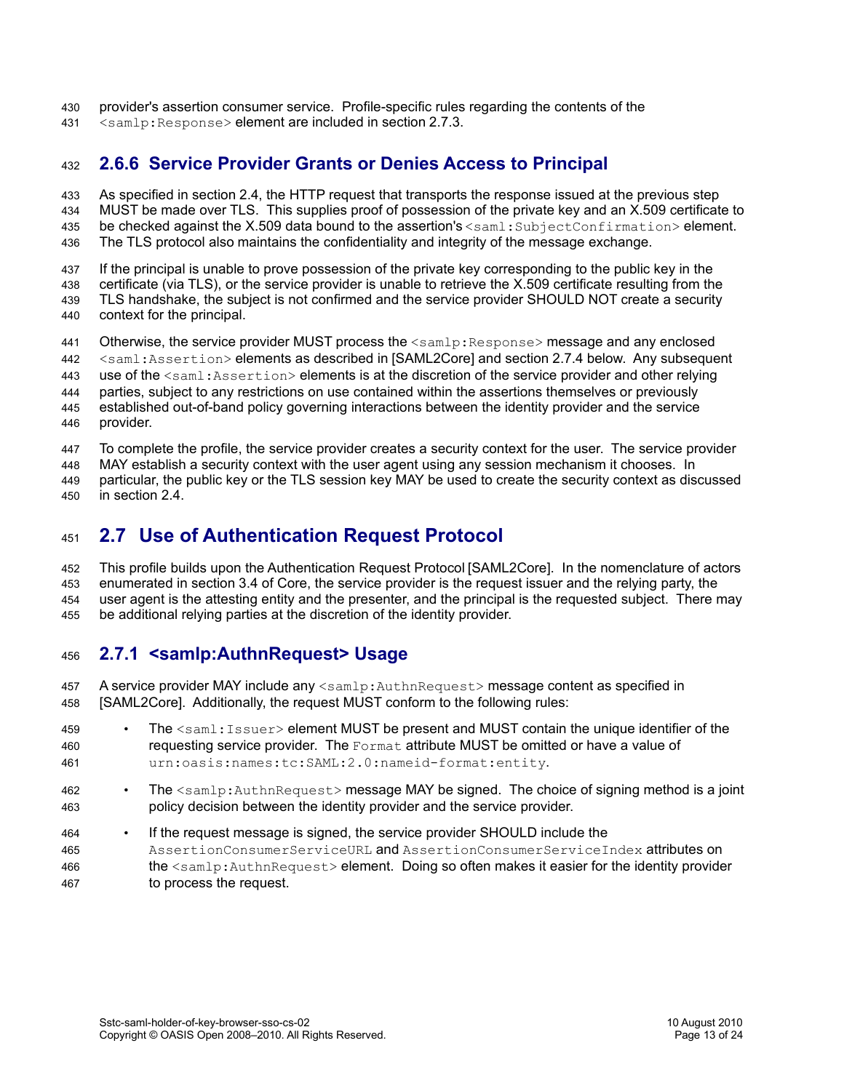- provider's assertion consumer service. Profile-specific rules regarding the contents of the 430
- <samlp:Response> element are included in section [2.7.3.](#page-13-1) 431

#### <span id="page-12-0"></span>**2.6.6 Service Provider Grants or Denies Access to Principal** 432

As specified in section [2.4,](#page-8-0) the HTTP request that transports the response issued at the previous step 433

MUST be made over TLS. This supplies proof of possession of the private key and an X.509 certificate to 434

be checked against the X.509 data bound to the assertion's <saml:SubjectConfirmation> element. 435

The TLS protocol also maintains the confidentiality and integrity of the message exchange. 436

If the principal is unable to prove possession of the private key corresponding to the public key in the 437

certificate (via TLS), or the service provider is unable to retrieve the X.509 certificate resulting from the TLS handshake, the subject is not confirmed and the service provider SHOULD NOT create a security context for the principal. 438 439 440

Otherwise, the service provider MUST process the  $\leq$ samlp: Response> message and any enclosed 441

<saml:Assertion> elements as described in [\[SAML2Core\]](#page-5-3) and section [2.7.4](#page-14-0) below. Any subsequent 442

use of the  $\le$ saml:Assertion> elements is at the discretion of the service provider and other relying 443

parties, subject to any restrictions on use contained within the assertions themselves or previously 444

established out-of-band policy governing interactions between the identity provider and the service provider. 445 446

To complete the profile, the service provider creates a security context for the user. The service provider 447

MAY establish a security context with the user agent using any session mechanism it chooses. In 448

particular, the public key or the TLS session key MAY be used to create the security context as discussed in section [2.4.](#page-8-0) 449 450

#### <span id="page-12-1"></span>**2.7 Use of Authentication Request Protocol** 451

This profile builds upon the Authentication Request Protocol [\[SAML2Core\].](#page-5-3) In the nomenclature of actors enumerated in section 3.4 of Core, the service provider is the request issuer and the relying party, the user agent is the attesting entity and the presenter, and the principal is the requested subject. There may be additional relying parties at the discretion of the identity provider. 452 453 454 455

#### <span id="page-12-2"></span>**2.7.1 <samlp:AuthnRequest> Usage** 456

A service provider MAY include any <samlp: AuthnRequest> message content as specified in [\[SAML2Core\].](#page-5-3) Additionally, the request MUST conform to the following rules: 457 458

- The <saml: Issuer> element MUST be present and MUST contain the unique identifier of the requesting service provider. The Format attribute MUST be omitted or have a value of urn:oasis:names:tc:SAML:2.0:nameid-format:entity. 459 460 461
- The <samlp:AuthnRequest> message MAY be signed. The choice of signing method is a joint policy decision between the identity provider and the service provider. 462 463
- If the request message is signed, the service provider SHOULD include the AssertionConsumerServiceURL and AssertionConsumerServiceIndex attributes on the <samlp:AuthnRequest> element. Doing so often makes it easier for the identity provider to process the request. 464 465 466 467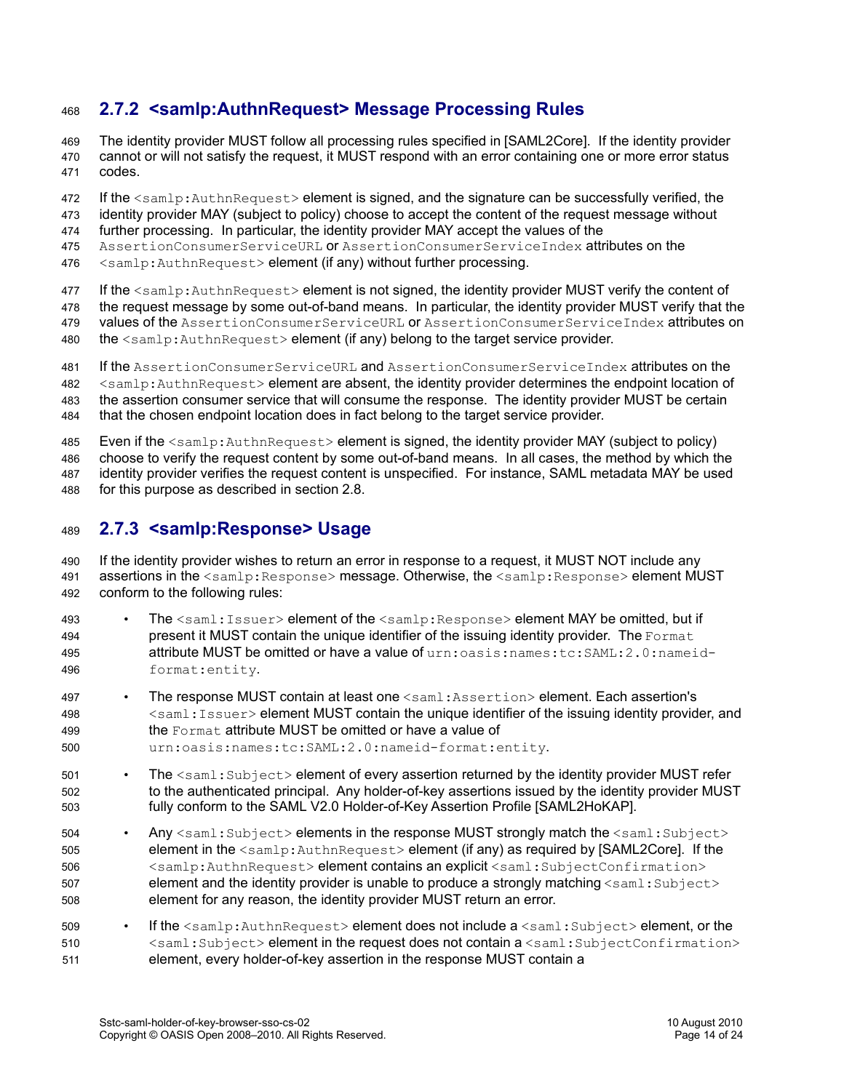#### <span id="page-13-0"></span>**2.7.2 <samlp:AuthnRequest> Message Processing Rules** 468

The identity provider MUST follow all processing rules specified in [\[SAML2Core\].](#page-5-3) If the identity provider cannot or will not satisfy the request, it MUST respond with an error containing one or more error status codes. 469 470 471

If the <samlp:AuthnRequest> element is signed, and the signature can be successfully verified, the 472

identity provider MAY (subject to policy) choose to accept the content of the request message without 473

further processing. In particular, the identity provider MAY accept the values of the 474

AssertionConsumerServiceURL or AssertionConsumerServiceIndex attributes on the 475

<samlp:AuthnRequest> element (if any) without further processing. 476

If the  $\leq$ samlp: AuthnRequest> element is not signed, the identity provider MUST verify the content of 477

the request message by some out-of-band means. In particular, the identity provider MUST verify that the 478

- values of the AssertionConsumerServiceURL or AssertionConsumerServiceIndex attributes on 479
- the <samlp:AuthnRequest> element (if any) belong to the target service provider. 480

If the AssertionConsumerServiceURL and AssertionConsumerServiceIndex attributes on the 481

<samlp:AuthnRequest> element are absent, the identity provider determines the endpoint location of 482

the assertion consumer service that will consume the response. The identity provider MUST be certain 483

that the chosen endpoint location does in fact belong to the target service provider. 484

Even if the  $\langle \text{samlp:AuthorRequest} \rangle$  element is signed, the identity provider MAY (subject to policy) 485

choose to verify the request content by some out-of-band means. In all cases, the method by which the 486

identity provider verifies the request content is unspecified. For instance, SAML metadata MAY be used 487

for this purpose as described in section [2.8.](#page-15-0) 488

#### <span id="page-13-1"></span>**2.7.3 <samlp:Response> Usage** 489

If the identity provider wishes to return an error in response to a request, it MUST NOT include any assertions in the <samlp:Response> message. Otherwise, the <samlp:Response> element MUST conform to the following rules: 490 491 492

- The <saml:Issuer> element of the <samlp:Response> element MAY be omitted, but if present it MUST contain the unique identifier of the issuing identity provider. The Format attribute MUST be omitted or have a value of urn:oasis:names:tc:SAML:2.0:nameidformat:entity. 493 494 495 496
- The response MUST contain at least one <saml:Assertion> element. Each assertion's <saml:Issuer> element MUST contain the unique identifier of the issuing identity provider, and the Format attribute MUST be omitted or have a value of 497 498 499
- urn:oasis:names:tc:SAML:2.0:nameid-format:entity. 500
- The <saml: Subject> element of every assertion returned by the identity provider MUST refer to the authenticated principal. Any holder-of-key assertions issued by the identity provider MUST fully conform to the SAML V2.0 Holder-of-Key Assertion Profile [\[SAML2HoKAP\].](#page-5-7) 501 502 503
- Any <saml: Subject> elements in the response MUST strongly match the <saml: Subject> element in the <samlp:AuthnRequest> element (if any) as required by [\[SAML2Core\].](#page-5-3) If the <samlp:AuthnRequest> element contains an explicit <saml:SubjectConfirmation> element and the identity provider is unable to produce a strongly matching  $\langle \text{saml:Subject}\rangle$ element for any reason, the identity provider MUST return an error. 504 505 506 507 508
- If the  $\leq$ samlp:AuthnRequest> element does not include a  $\leq$ saml:Subject> element, or the <saml:Subject> element in the request does not contain a <saml:SubjectConfirmation> element, every holder-of-key assertion in the response MUST contain a 509 510 511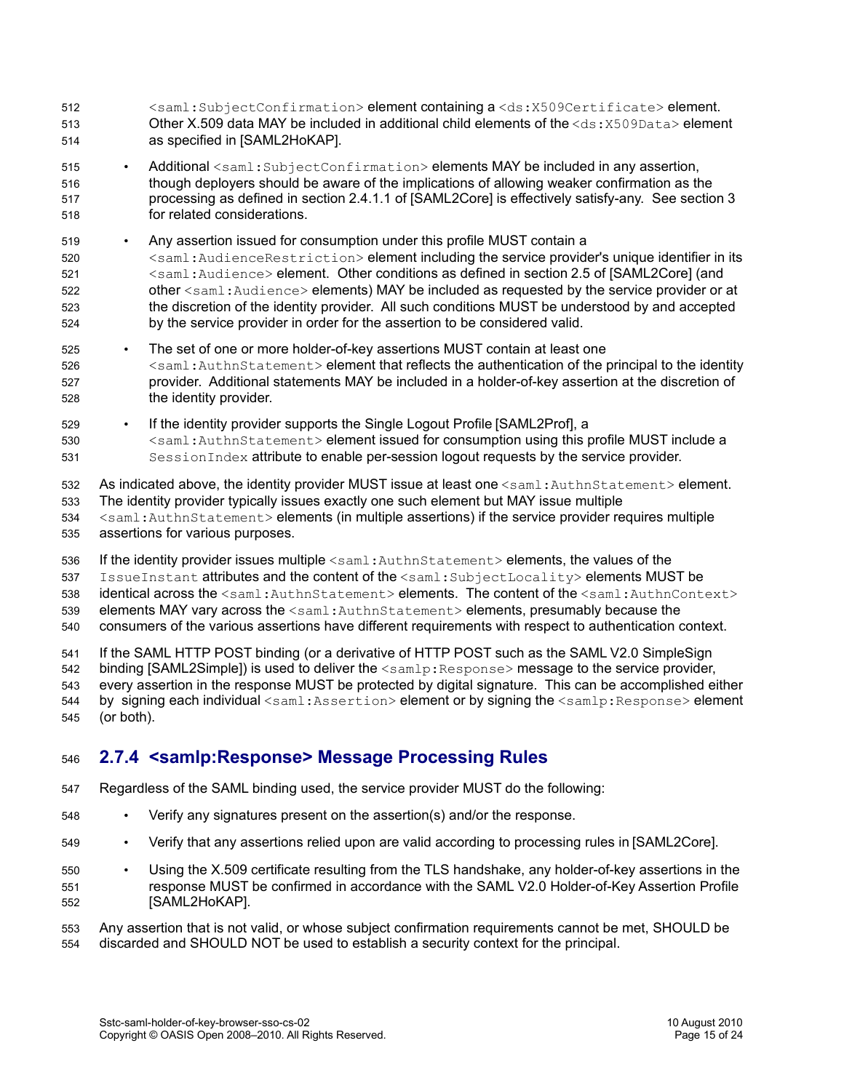- <saml:SubjectConfirmation> element containing a <ds:X509Certificate> element. Other X.509 data MAY be included in additional child elements of the  $\langle ds: X509$ Data> element as specified in [\[SAML2HoKAP\].](#page-5-7) 512 513 514
- Additional <saml:SubjectConfirmation> elements MAY be included in any assertion, though deployers should be aware of the implications of allowing weaker confirmation as the processing as defined in section 2.4.1.1 of [\[SAML2Core\]](#page-5-3) is effectively satisfy-any. See section [3](#page-17-0) for related considerations. 515 516 517 518
- Any assertion issued for consumption under this profile MUST contain a <saml:AudienceRestriction> element including the service provider's unique identifier in its <saml:Audience> element. Other conditions as defined in section 2.5 of [\[SAML2Core\]](#page-5-3) (and other <saml:Audience> elements) MAY be included as requested by the service provider or at the discretion of the identity provider. All such conditions MUST be understood by and accepted by the service provider in order for the assertion to be considered valid. 519 520 521 522 523 524
- The set of one or more holder-of-key assertions MUST contain at least one <saml:AuthnStatement> element that reflects the authentication of the principal to the identity provider. Additional statements MAY be included in a holder-of-key assertion at the discretion of the identity provider. 525 526 527 528
- If the identity provider supports the Single Logout Profile [\[SAML2Prof\],](#page-6-0) a 529
- <saml:AuthnStatement> element issued for consumption using this profile MUST include a SessionIndex attribute to enable per-session logout requests by the service provider. 530 531

As indicated above, the identity provider MUST issue at least one <saml:AuthnStatement> element. The identity provider typically issues exactly one such element but MAY issue multiple <saml:AuthnStatement> elements (in multiple assertions) if the service provider requires multiple assertions for various purposes. 532 533 534 535

- If the identity provider issues multiple <saml:AuthnStatement> elements, the values of the 536
- IssueInstant attributes and the content of the <saml:SubjectLocality> elements MUST be 537

identical across the <saml:AuthnStatement> elements. The content of the <saml:AuthnContext> 538

- elements MAY vary across the  $\leq$ saml:AuthnStatement> elements, presumably because the 539
- consumers of the various assertions have different requirements with respect to authentication context. 540

If the SAML HTTP POST binding (or a derivative of HTTP POST such as the SAML V2.0 SimpleSign binding  $[SAML2Simple]$  is used to deliver the  $\langle$ samlp:Response> message to the service provider, every assertion in the response MUST be protected by digital signature. This can be accomplished either by signing each individual <saml:Assertion> element or by signing the <samlp:Response> element (or both). 541 542 543 544 545

#### <span id="page-14-0"></span>**2.7.4 <samlp:Response> Message Processing Rules** 546

- Regardless of the SAML binding used, the service provider MUST do the following: 547
- Verify any signatures present on the assertion(s) and/or the response. 548
- Verify that any assertions relied upon are valid according to processing rules in [\[SAML2Core\].](#page-5-3) 549
- Using the X.509 certificate resulting from the TLS handshake, any holder-of-key assertions in the response MUST be confirmed in accordance with the SAML V2.0 Holder-of-Key Assertion Profile [\[SAML2HoKAP\].](#page-5-7) 550 551 552

Any assertion that is not valid, or whose subject confirmation requirements cannot be met, SHOULD be discarded and SHOULD NOT be used to establish a security context for the principal. 553 554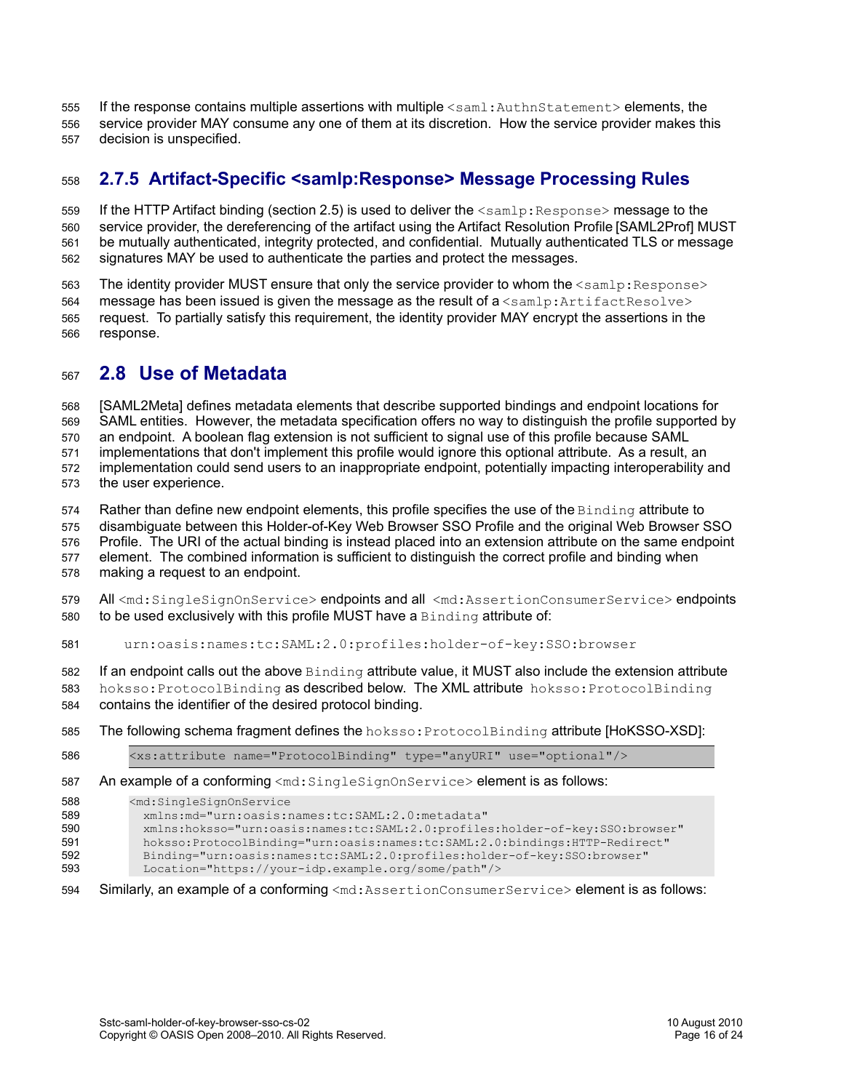- If the response contains multiple assertions with multiple <saml:AuthnStatement> elements, the 555
- service provider MAY consume any one of them at its discretion. How the service provider makes this 556
- decision is unspecified. 557

#### <span id="page-15-1"></span>**2.7.5 Artifact-Specific <samlp:Response> Message Processing Rules** 558

If the HTTP Artifact binding (section [2.5\)](#page-10-0) is used to deliver the  $\leq$ samlp: Response> message to the service provider, the dereferencing of the artifact using the Artifact Resolution Profile [\[SAML2Prof\]](#page-6-0) MUST be mutually authenticated, integrity protected, and confidential. Mutually authenticated TLS or message signatures MAY be used to authenticate the parties and protect the messages. 559 560 561 562

The identity provider MUST ensure that only the service provider to whom the  $\leq$ samlp: Response> message has been issued is given the message as the result of  $a$  <samlp: ArtifactResolve> request. To partially satisfy this requirement, the identity provider MAY encrypt the assertions in the response. 563 564 565 566

#### <span id="page-15-0"></span>**2.8 Use of Metadata** 567

[\[SAML2Meta\]](#page-5-1) defines metadata elements that describe supported bindings and endpoint locations for 568

SAML entities. However, the metadata specification offers no way to distinguish the profile supported by 569

an endpoint. A boolean flag extension is not sufficient to signal use of this profile because SAML implementations that don't implement this profile would ignore this optional attribute. As a result, an 570 571

implementation could send users to an inappropriate endpoint, potentially impacting interoperability and 572

the user experience. 573

Rather than define new endpoint elements, this profile specifies the use of the Binding attribute to 574

disambiguate between this Holder-of-Key Web Browser SSO Profile and the original Web Browser SSO 575

Profile. The URI of the actual binding is instead placed into an extension attribute on the same endpoint 576

element. The combined information is sufficient to distinguish the correct profile and binding when making a request to an endpoint. 577 578

All <md:SingleSignOnService> endpoints and all <md:AssertionConsumerService> endpoints to be used exclusively with this profile MUST have a Binding attribute of: 579 580

urn:oasis:names:tc:SAML:2.0:profiles:holder-of-key:SSO:browser 581

If an endpoint calls out the above Binding attribute value, it MUST also include the extension attribute 582

hoksso: ProtocolBinding as described below. The XML attribute hoksso: ProtocolBinding 583

- contains the identifier of the desired protocol binding. 584
- The following schema fragment defines the hoksso:ProtocolBinding attribute [\[HoKSSO-XSD\]:](#page-5-0) 585

<xs:attribute name="ProtocolBinding" type="anyURI" use="optional"/> 586

An example of a conforming  $\leq m d$ : SingleSignOnService> element is as follows: 587

<md:SingleSignOnService 588

 xmlns:md="urn:oasis:names:tc:SAML:2.0:metadata" 589

 xmlns:hoksso="urn:oasis:names:tc:SAML:2.0:profiles:holder-of-key:SSO:browser" 590

 hoksso:ProtocolBinding="urn:oasis:names:tc:SAML:2.0:bindings:HTTP-Redirect" 591

 Binding="urn:oasis:names:tc:SAML:2.0:profiles:holder-of-key:SSO:browser" 592

- Location="https://your-idp.example.org/some/path"/> 593
- Similarly, an example of a conforming <md:AssertionConsumerService> element is as follows: 594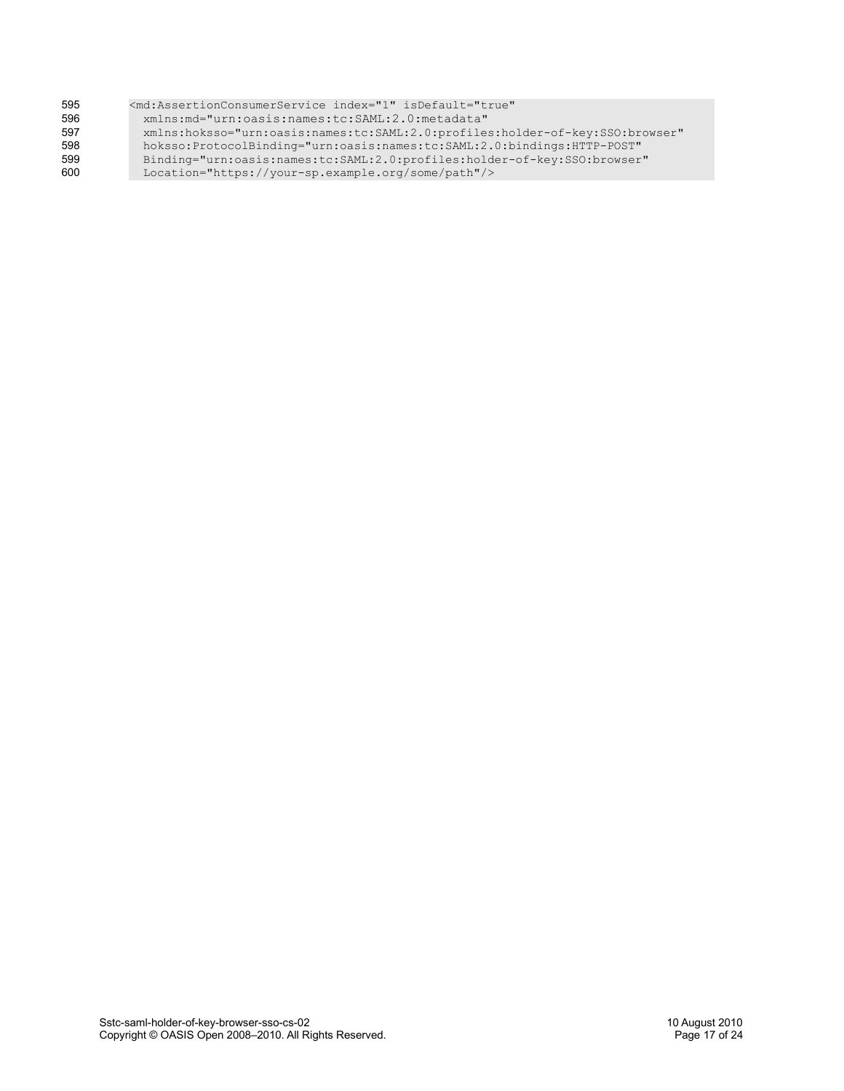| 595 | <md:assertionconsumerservice <="" index="1" isdefault="true" th=""></md:assertionconsumerservice> |
|-----|---------------------------------------------------------------------------------------------------|
| 596 | xmlns:md="urn:oasis:names:tc:SAML:2.0:metadata"                                                   |
| 597 | xmlns:hoksso="urn:oasis:names:tc:SAML:2.0:profiles:holder-of-key:SSO:browser"                     |
| 598 | hoksso:ProtocolBinding="urn:oasis:names:tc:SAML:2.0:bindings:HTTP-POST"                           |
| 599 | Binding="urn:oasis:names:tc:SAML:2.0:profiles:holder-of-key:SSO:browser"                          |
| 600 | Location="https://your-sp.example.org/some/path"/>                                                |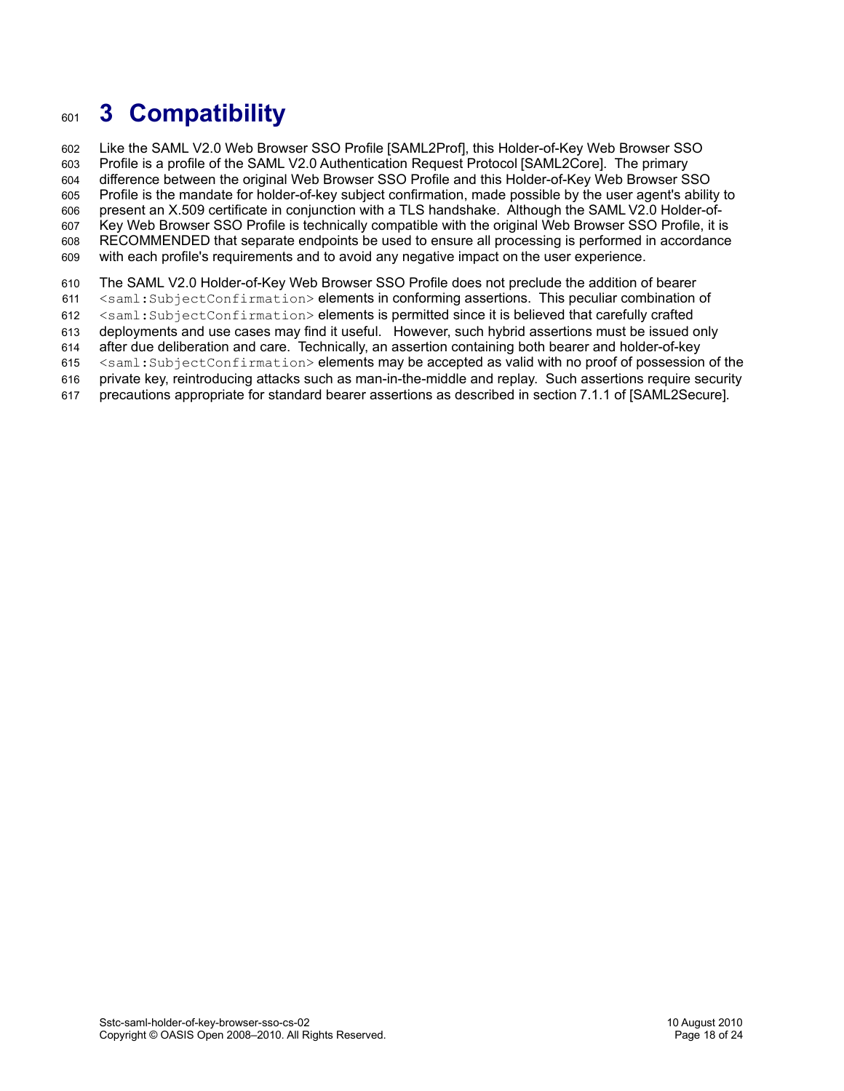# <span id="page-17-0"></span>**3 Compatibility** 601

Like the SAML V2.0 Web Browser SSO Profile [\[SAML2Prof\],](#page-6-0) this Holder-of-Key Web Browser SSO Profile is a profile of the SAML V2.0 Authentication Request Protocol [\[SAML2Core\].](#page-5-3) The primary difference between the original Web Browser SSO Profile and this Holder-of-Key Web Browser SSO Profile is the mandate for holder-of-key subject confirmation, made possible by the user agent's ability to present an X.509 certificate in conjunction with a TLS handshake. Although the SAML V2.0 Holder-of-Key Web Browser SSO Profile is technically compatible with the original Web Browser SSO Profile, it is RECOMMENDED that separate endpoints be used to ensure all processing is performed in accordance with each profile's requirements and to avoid any negative impact on the user experience. 602 603 604 605 606 607 608 609

- The SAML V2.0 Holder-of-Key Web Browser SSO Profile does not preclude the addition of bearer 610
- <saml:SubjectConfirmation> elements in conforming assertions. This peculiar combination of 611
- <saml:SubjectConfirmation> elements is permitted since it is believed that carefully crafted 612
- deployments and use cases may find it useful. However, such hybrid assertions must be issued only 613
- after due deliberation and care. Technically, an assertion containing both bearer and holder-of-key 614
- <saml:SubjectConfirmation> elements may be accepted as valid with no proof of possession of the 615
- private key, reintroducing attacks such as man-in-the-middle and replay. Such assertions require security 616
- precautions appropriate for standard bearer assertions as described in section7.1.1 of [\[SAML2Secure\].](#page-6-7) 617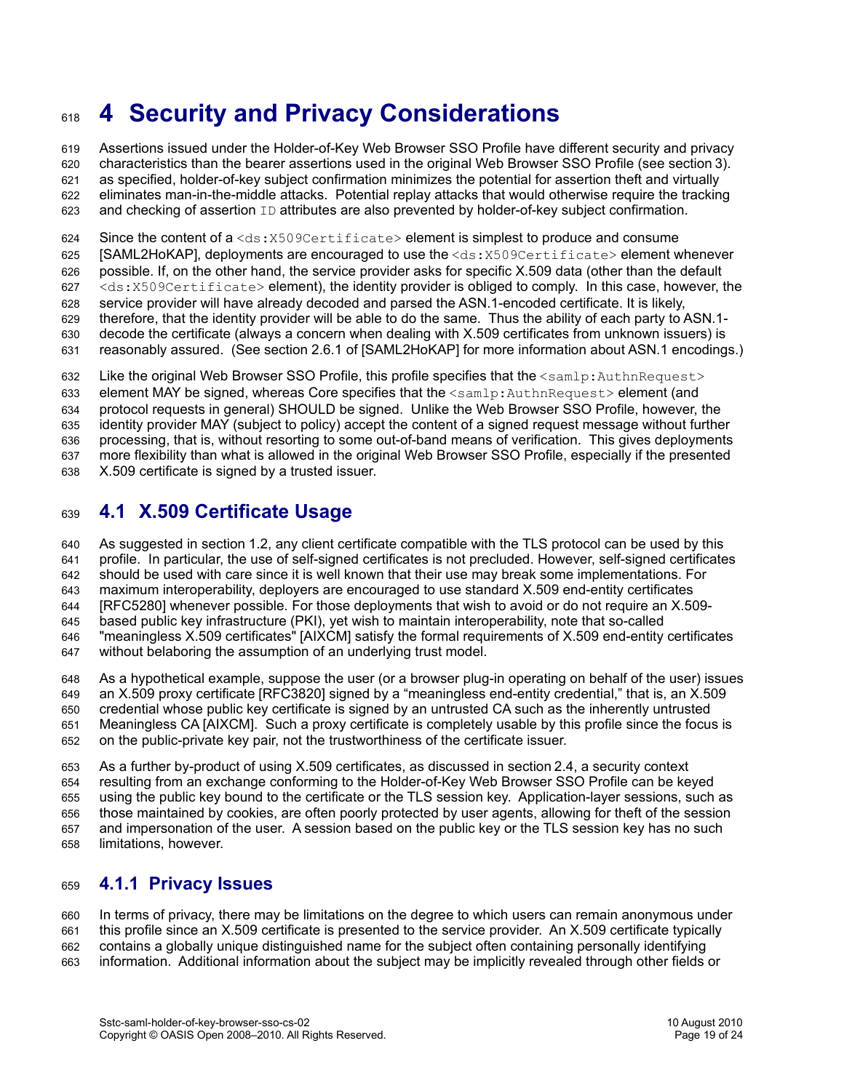# <span id="page-18-0"></span>**4 Security and Privacy Considerations** 618

Assertions issued under the Holder-of-Key Web Browser SSO Profile have different security and privacy characteristics than the bearer assertions used in the original Web Browser SSO Profile (see section[3\)](#page-17-0). as specified, holder-of-key subject confirmation minimizes the potential for assertion theft and virtually eliminates man-in-the-middle attacks. Potential replay attacks that would otherwise require the tracking and checking of assertion  $ID$  attributes are also prevented by holder-of-key subject confirmation. 619 620 621 622 623

Since the content of  $a < ds : X509Certificate > element$  is simplest to produce and consume 624

[\[SAML2HoKAP\],](#page-5-7) deployments are encouraged to use the <ds:X509Certificate> element whenever 625

possible. If, on the other hand, the service provider asks for specific X.509 data (other than the default 626

<ds:X509Certificate> element), the identity provider is obliged to comply. In this case, however, the 627

- service provider will have already decoded and parsed the ASN.1-encoded certificate. It is likely, 628 629
- therefore, that the identity provider will be able to do the same. Thus the ability of each party to ASN.1 decode the certificate (always a concern when dealing with X.509 certificates from unknown issuers) is 630
- reasonably assured. (See section 2.6.1 of [\[SAML2HoKAP\]](#page-5-7) for more information about ASN.1 encodings.) 631

Like the original Web Browser SSO Profile, this profile specifies that the <samlp:AuthnRequest> 632

element MAY be signed, whereas Core specifies that the  $\leq$ samlp:AuthnRequest> element (and 633

protocol requests in general) SHOULD be signed. Unlike the Web Browser SSO Profile, however, the 634

identity provider MAY (subject to policy) accept the content of a signed request message without further 635

processing, that is, without resorting to some out-of-band means of verification. This gives deployments 636

more flexibility than what is allowed in the original Web Browser SSO Profile, especially if the presented 637

X.509 certificate is signed by a trusted issuer. 638

#### <span id="page-18-1"></span>**4.1 X.509 Certificate Usage** 639

As suggested in section [1.2,](#page-5-10) any client certificate compatible with the TLS protocol can be used by this profile. In particular, the use of self-signed certificates is not precluded. However, self-signed certificates should be used with care since it is well known that their use may break some implementations. For maximum interoperability, deployers are encouraged to use standard X.509 end-entity certificates [\[RFC5280\]](#page-5-9) whenever possible. For those deployments that wish to avoid or do not require an X.509 based public key infrastructure (PKI), yet wish to maintain interoperability, note that so-called "meaningless X.509 certificates" [\[AIXCM\]](#page-6-10) satisfy the formal requirements of X.509 end-entity certificates without belaboring the assumption of an underlying trust model. 640 641 642 643 644 645 646 647

As a hypothetical example, suppose the user (or a browser plug-in operating on behalf of the user) issues an X.509 proxy certificate [\[RFC3820\]](#page-6-11) signed by a "meaningless end-entity credential," that is, an X.509 credential whose public key certificate is signed by an untrusted CA such as the inherently untrusted Meaningless CA [\[AIXCM\].](#page-6-10) Such a proxy certificate is completely usable by this profile since the focus is on the public-private key pair, not the trustworthiness of the certificate issuer. 648 649 650 651 652

As a further by-product of using X.509 certificates, as discussed in section[2.4,](#page-8-0) a security context resulting from an exchange conforming to the Holder-of-Key Web Browser SSO Profile can be keyed using the public key bound to the certificate or the TLS session key. Application-layer sessions, such as those maintained by cookies, are often poorly protected by user agents, allowing for theft of the session and impersonation of the user. A session based on the public key or the TLS session key has no such limitations, however. 653 654 655 656 657 658

#### **4.1.1 Privacy Issues** 659

In terms of privacy, there may be limitations on the degree to which users can remain anonymous under this profile since an X.509 certificate is presented to the service provider. An X.509 certificate typically contains a globally unique distinguished name for the subject often containing personally identifying information. Additional information about the subject may be implicitly revealed through other fields or 660 661 662 663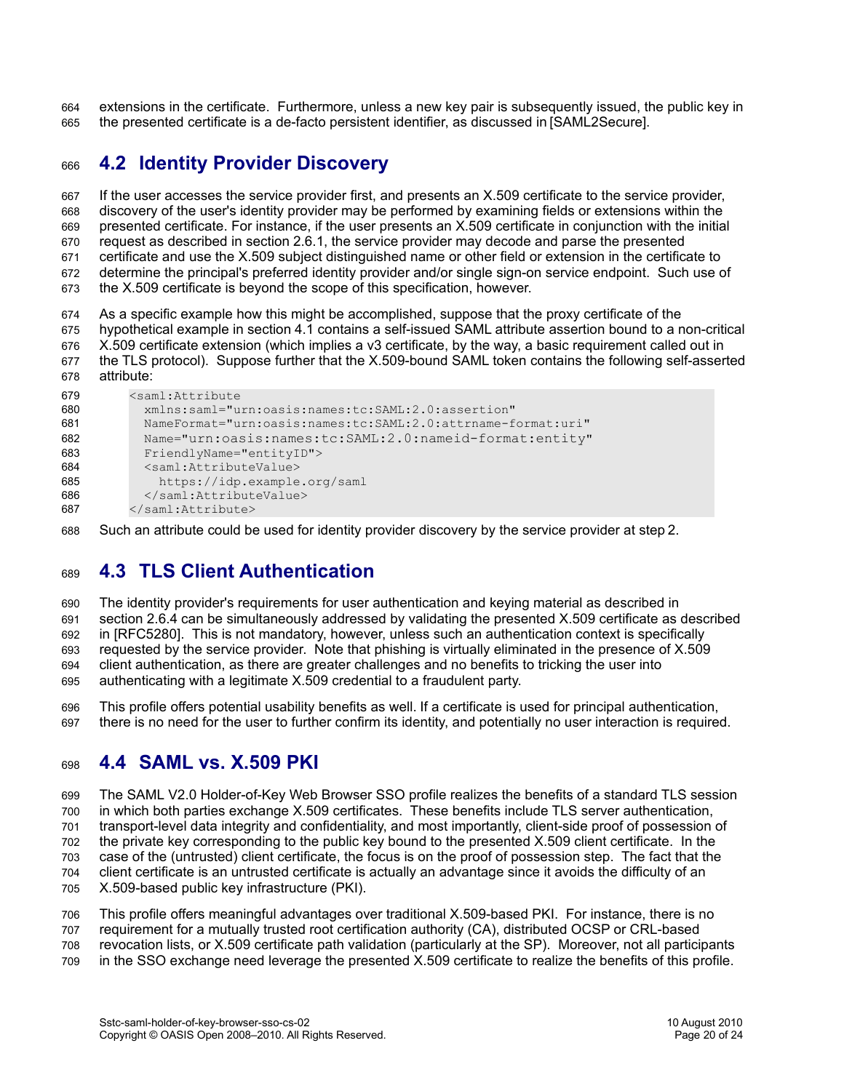extensions in the certificate. Furthermore, unless a new key pair is subsequently issued, the public key in the presented certificate is a de-facto persistent identifier, as discussed in [\[SAML2Secure\].](#page-6-7) 664 665

#### <span id="page-19-1"></span>**4.2 Identity Provider Discovery** 666

If the user accesses the service provider first, and presents an X.509 certificate to the service provider, discovery of the user's identity provider may be performed by examining fields or extensions within the presented certificate. For instance, if the user presents an X.509 certificate in conjunction with the initial request as described in section [2.6.1,](#page-10-2) the service provider may decode and parse the presented certificate and use the X.509 subject distinguished name or other field or extension in the certificate to determine the principal's preferred identity provider and/or single sign-on service endpoint. Such use of the X.509 certificate is beyond the scope of this specification, however. 667 668 669 670 671 672 673

As a specific example how this might be accomplished, suppose that the proxy certificate of the hypothetical example in section [4.1](#page-18-1) contains a self-issued SAML attribute assertion bound to a non-critical X.509 certificate extension (which implies a v3 certificate, by the way, a basic requirement called out in the TLS protocol). Suppose further that the X.509-bound SAML token contains the following self-asserted attribute: 674 675 676 677 678

| 679 | <saml:attribute< th=""></saml:attribute<>                    |
|-----|--------------------------------------------------------------|
| 680 | xmlns:saml="urn:oasis:names:tc:SAML:2.0:assertion"           |
| 681 | NameFormat="urn:oasis:names:tc:SAML:2.0:attrname-format:uri" |
| 682 | Name="urn:oasis:names:tc:SAML:2.0:nameid-format:entity"      |
| 683 | FriendlyName="entityID">                                     |
| 684 | <saml:attributevalue></saml:attributevalue>                  |
| 685 | https://idp.example.org/saml                                 |
| 686 |                                                              |
| 687 |                                                              |

Such an attribute could be used for identity provider discovery by the service provider at step2. 688

#### <span id="page-19-0"></span>**4.3 TLS Client Authentication** 689

The identity provider's requirements for user authentication and keying material as described in section [2.6.4](#page-11-1) can be simultaneously addressed by validating the presented X.509 certificate as described in [\[RFC5280\].](#page-5-9) This is not mandatory, however, unless such an authentication context is specifically requested by the service provider. Note that phishing is virtually eliminated in the presence of X.509 client authentication, as there are greater challenges and no benefits to tricking the user into authenticating with a legitimate X.509 credential to a fraudulent party. 690 691 692 693 694 695

This profile offers potential usability benefits as well. If a certificate is used for principal authentication, there is no need for the user to further confirm its identity, and potentially no user interaction is required. 696 697

#### **4.4 SAML vs. X.509 PKI** 698

The SAML V2.0 Holder-of-Key Web Browser SSO profile realizes the benefits of a standard TLS session in which both parties exchange X.509 certificates. These benefits include TLS server authentication, transport-level data integrity and confidentiality, and most importantly, client-side proof of possession of the private key corresponding to the public key bound to the presented X.509 client certificate. In the case of the (untrusted) client certificate, the focus is on the proof of possession step. The fact that the client certificate is an untrusted certificate is actually an advantage since it avoids the difficulty of an X.509-based public key infrastructure (PKI). 699 700 701 702 703 704 705

This profile offers meaningful advantages over traditional X.509-based PKI. For instance, there is no requirement for a mutually trusted root certification authority (CA), distributed OCSP or CRL-based revocation lists, or X.509 certificate path validation (particularly at the SP). Moreover, not all participants in the SSO exchange need leverage the presented X.509 certificate to realize the benefits of this profile. 706 707 708 709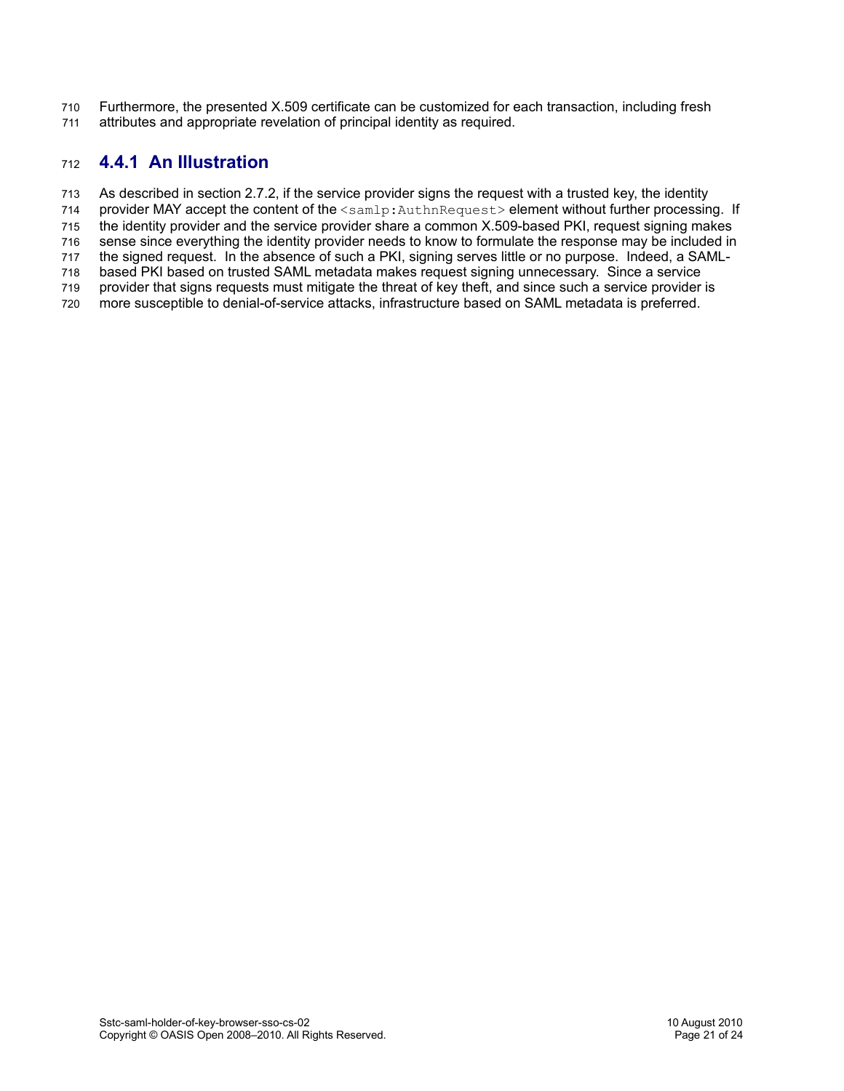Furthermore, the presented X.509 certificate can be customized for each transaction, including fresh 710

attributes and appropriate revelation of principal identity as required. 711

#### **4.4.1 An Illustration** 712

As described in section [2.7.2,](#page-13-0) if the service provider signs the request with a trusted key, the identity 713

provider MAY accept the content of the <samlp:AuthnRequest> element without further processing. If 714 715

the identity provider and the service provider share a common X.509-based PKI, request signing makes sense since everything the identity provider needs to know to formulate the response may be included in 716

the signed request. In the absence of such a PKI, signing serves little or no purpose. Indeed, a SAML-717

based PKI based on trusted SAML metadata makes request signing unnecessary. Since a service 718

provider that signs requests must mitigate the threat of key theft, and since such a service provider is 719

more susceptible to denial-of-service attacks, infrastructure based on SAML metadata is preferred. 720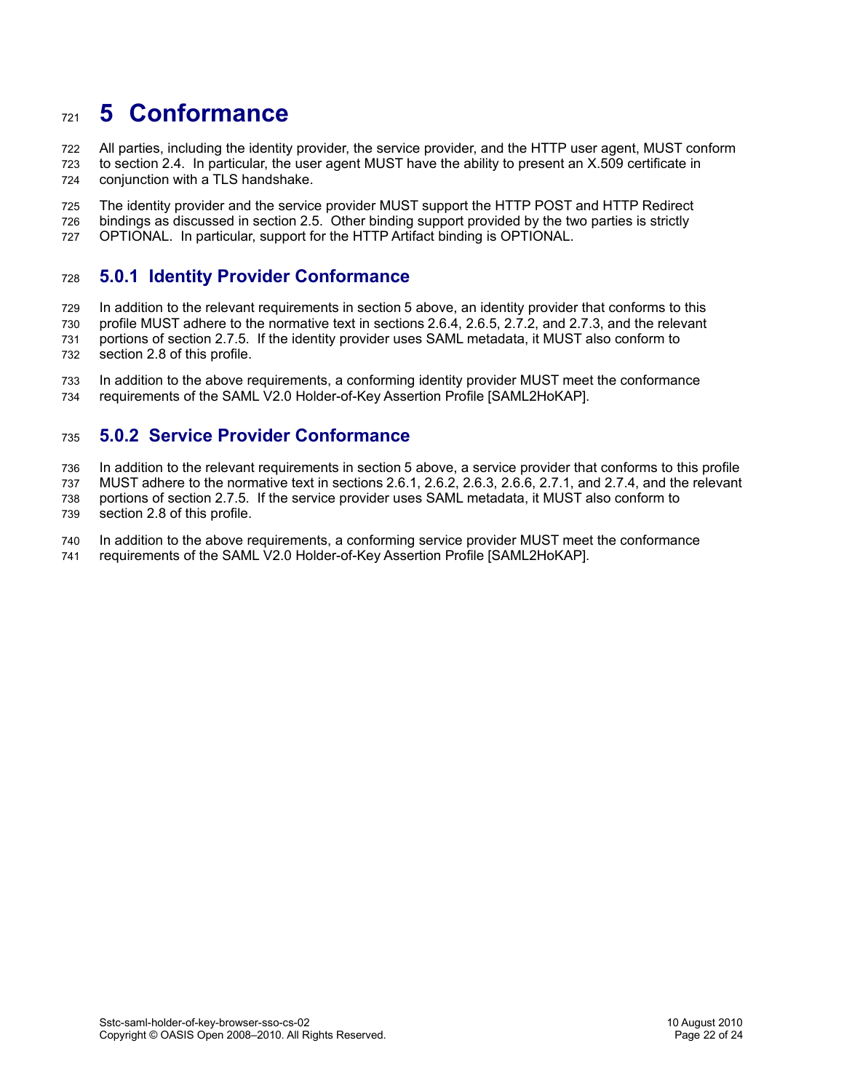### <span id="page-21-0"></span>**5 Conformance** 721

All parties, including the identity provider, the service provider, and the HTTP user agent, MUST conform to section [2.4.](#page-8-0) In particular, the user agent MUST have the ability to present an X.509 certificate in conjunction with a TLS handshake. 722 723 724

The identity provider and the service provider MUST support the HTTP POST and HTTP Redirect bindings as discussed in section [2.5.](#page-10-0) Other binding support provided by the two parties is strictly OPTIONAL. In particular, support for the HTTP Artifact binding is OPTIONAL. 725 726 727

#### **5.0.1 Identity Provider Conformance** 728

In addition to the relevant requirements in section [5](#page-21-0) above, an identity provider that conforms to this profile MUST adhere to the normative text in sections [2.6.4,](#page-11-1) [2.6.5,](#page-11-0) [2.7.2,](#page-13-0) and [2.7.3,](#page-13-1) and the relevant portions of section [2.7.5.](#page-15-1) If the identity provider uses SAML metadata, it MUST also conform to section [2.8](#page-15-0) of this profile. 729 730 731 732

In addition to the above requirements, a conforming identity provider MUST meet the conformance requirements of the SAML V2.0 Holder-of-Key Assertion Profile [\[SAML2HoKAP\].](#page-5-7) 733 734

#### **5.0.2 Service Provider Conformance** 735

In addition to the relevant requirements in section [5](#page-21-0) above, a service provider that conforms to this profile 736

MUST adhere to the normative text in sections [2.6.1,](#page-10-2) [2.6.2,](#page-10-1) [2.6.3,](#page-11-2) [2.6.6,](#page-12-0) [2.7.1,](#page-12-2) and [2.7.4,](#page-14-0) and the relevant 737

portions of section [2.7.5.](#page-15-1) If the service provider uses SAML metadata, it MUST also conform to section [2.8](#page-15-0) of this profile. 738 739

In addition to the above requirements, a conforming service provider MUST meet the conformance 740

requirements of the SAML V2.0 Holder-of-Key Assertion Profile [\[SAML2HoKAP\].](#page-5-7) 741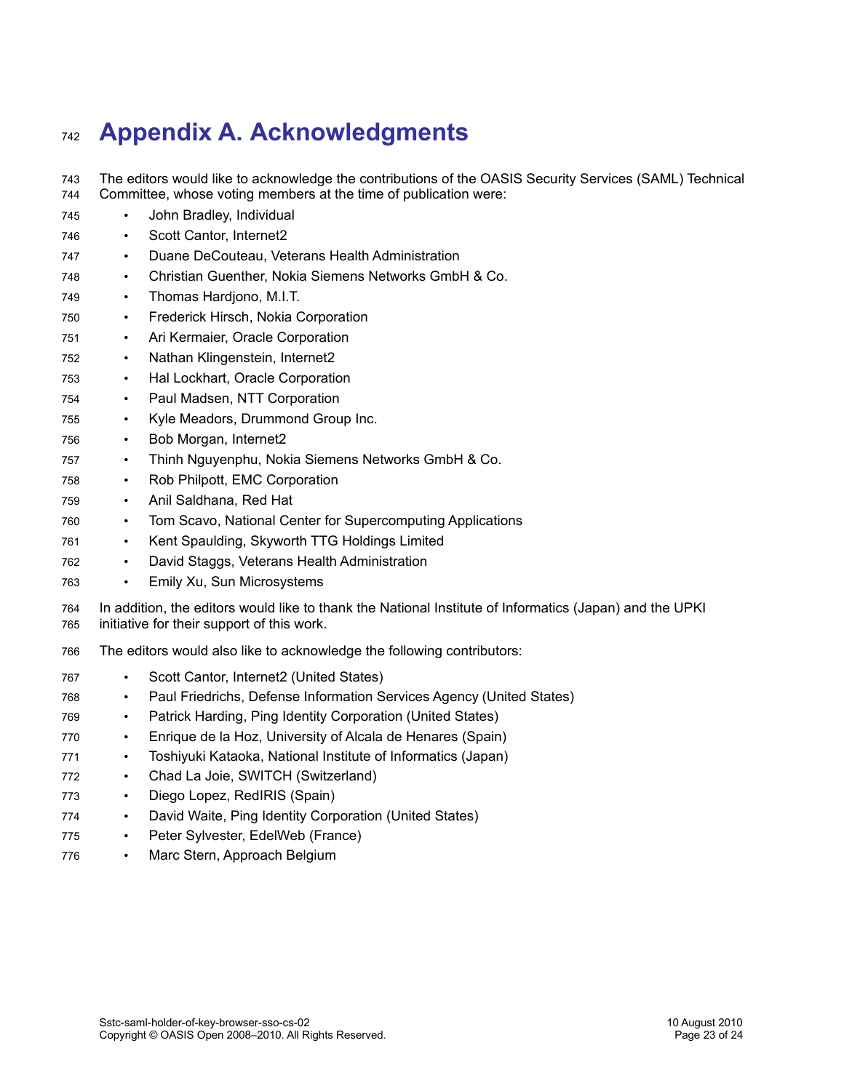# **Appendix A. Acknowledgments** 742

- The editors would like to acknowledge the contributions of the OASIS Security Services (SAML) Technical Committee, whose voting members at the time of publication were: 743 744
- John Bradley, Individual 745
- Scott Cantor, Internet2 746
- Duane DeCouteau, Veterans Health Administration 747
- Christian Guenther, Nokia Siemens Networks GmbH & Co. 748
- Thomas Hardjono, M.I.T. 749
- Frederick Hirsch, Nokia Corporation 750
- Ari Kermaier, Oracle Corporation 751
- Nathan Klingenstein, Internet2 752
- Hal Lockhart, Oracle Corporation 753
- Paul Madsen, NTT Corporation 754
- Kyle Meadors, Drummond Group Inc. 755
- Bob Morgan, Internet2 756
- Thinh Nguyenphu, Nokia Siemens Networks GmbH & Co. 757
- Rob Philpott, EMC Corporation 758
- Anil Saldhana, Red Hat 759
- Tom Scavo, National Center for Supercomputing Applications 760
- Kent Spaulding, Skyworth TTG Holdings Limited 761
- David Staggs, Veterans Health Administration 762
- Emily Xu, Sun Microsystems 763
- In addition, the editors would like to thank the National Institute of Informatics (Japan) and the UPKI initiative for their support of this work. 764 765
- The editors would also like to acknowledge the following contributors: 766
- Scott Cantor, Internet2 (United States) 767
- Paul Friedrichs, Defense Information Services Agency (United States) 768
- Patrick Harding, Ping Identity Corporation (United States) 769
- Enrique de la Hoz, University of Alcala de Henares (Spain) 770
- Toshiyuki Kataoka, National Institute of Informatics (Japan) 771
- Chad La Joie, SWITCH (Switzerland) 772
- Diego Lopez, RedIRIS (Spain) 773
- David Waite, Ping Identity Corporation (United States) 774
- Peter Sylvester, EdelWeb (France) 775
- Marc Stern, Approach Belgium 776